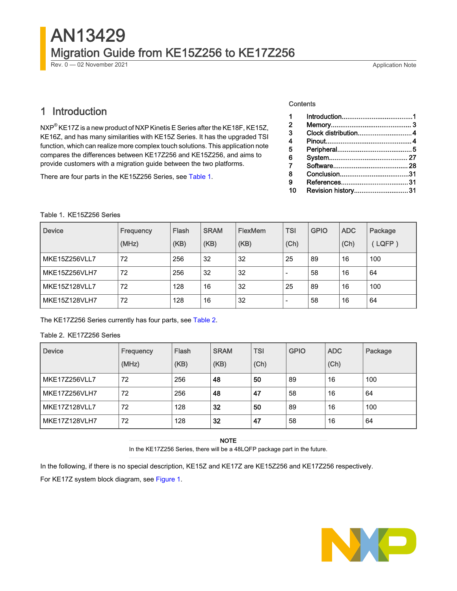# AN13429 Migration Guide from KE15Z256 to KE17Z256

Rev. 0 — 02 November 2021 Application Note

# 1 Introduction

NXP $^{\circledR}$  KE17Z is a new product of NXP Kinetis E Series after the KE18F, KE15Z, KE16Z, and has many similarities with KE15Z Series. It has the upgraded TSI function, which can realize more complex touch solutions. This application note compares the differences between KE17Z256 and KE15Z256, and aims to provide customers with a migration guide between the two platforms.

There are four parts in the KE15Z256 Series, see Table 1.

#### **Contents**

| 1  |                     |  |
|----|---------------------|--|
| 2  |                     |  |
| 3  | Clock distribution4 |  |
| 4  |                     |  |
| 5  |                     |  |
| 6  |                     |  |
| 7  |                     |  |
| 8  |                     |  |
| 9  |                     |  |
| 10 | Revision history31  |  |

#### Table 1. KE15Z256 Series

| <b>Device</b>        | Frequency<br>(MHz) | Flash<br>(KB) | <b>SRAM</b><br>(KB) | <b>FlexMem</b><br>(KB) | <b>TSI</b><br>(Ch) | <b>GPIO</b> | <b>ADC</b><br>(Ch) | Package<br>LQFP) |
|----------------------|--------------------|---------------|---------------------|------------------------|--------------------|-------------|--------------------|------------------|
| MKE15Z256VLL7        | 72                 | 256           | 32                  | 32                     | 25                 | 89          | 16                 | 100              |
| MKE15Z256VLH7        | 72                 | 256           | 32                  | 32                     |                    | 58          | 16                 | 64               |
| <b>MKE15Z128VLL7</b> | 72                 | 128           | 16                  | 32                     | 25                 | 89          | 16                 | 100              |
| MKE15Z128VLH7        | 72                 | 128           | 16                  | 32                     | -                  | 58          | 16                 | 64               |

The KE17Z256 Series currently has four parts, see Table 2.

### Table 2. KE17Z256 Series

| <b>Device</b>        | Frequency<br>(MHz) | Flash<br>(KB) | <b>SRAM</b><br>(KB) | <b>TSI</b><br>(Ch) | <b>GPIO</b> | <b>ADC</b><br>(Ch) | Package |
|----------------------|--------------------|---------------|---------------------|--------------------|-------------|--------------------|---------|
| <b>MKE17Z256VLL7</b> | 72                 | 256           | 48                  | 50                 | 89          | 16                 | 100     |
| MKE17Z256VLH7        | 72                 | 256           | 48                  | 47                 | 58          | 16                 | 64      |
| <b>MKE17Z128VLL7</b> | 72                 | 128           | 32                  | 50                 | 89          | 16                 | 100     |
| <b>MKE17Z128VLH7</b> | 72                 | 128           | 32                  | 47                 | 58          | 16                 | 64      |

NOTE

In the KE17Z256 Series, there will be a 48LQFP package part in the future.

In the following, if there is no special description, KE15Z and KE17Z are KE15Z256 and KE17Z256 respectively.

For KE17Z system block diagram, see [Figure 1](#page-1-0).

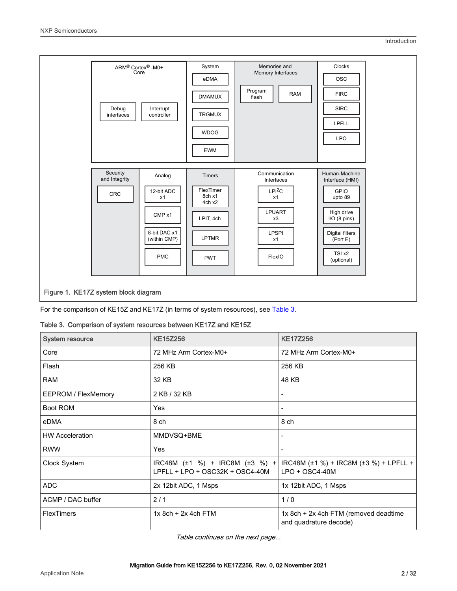<span id="page-1-0"></span>

For the comparison of KE15Z and KE17Z (in terms of system resources), see Table 3.

|  | Table 3. Comparison of system resources between KE17Z and KE15Z |  |  |  |  |  |
|--|-----------------------------------------------------------------|--|--|--|--|--|
|--|-----------------------------------------------------------------|--|--|--|--|--|

| <b>System resource</b>     | <b>KE15Z256</b>                                                   | <b>KE17Z256</b>                                                 |
|----------------------------|-------------------------------------------------------------------|-----------------------------------------------------------------|
| Core                       | 72 MHz Arm Cortex-M0+                                             | 72 MHz Arm Cortex-M0+                                           |
| Flash                      | 256 KB                                                            | 256 KB                                                          |
| <b>RAM</b>                 | 32 KB                                                             | 48 KB                                                           |
| <b>EEPROM / FlexMemory</b> | 2 KB / 32 KB                                                      |                                                                 |
| Boot ROM                   | Yes                                                               |                                                                 |
| eDMA                       | 8 ch                                                              | 8 ch                                                            |
| <b>HW Acceleration</b>     | MMDVSQ+BME                                                        | $\blacksquare$                                                  |
| <b>RWW</b>                 | Yes                                                               |                                                                 |
| Clock System               | IRC48M (±1 %) + IRC8M (±3 %) +<br>LPFLL + LPO + OSC32K + OSC4-40M | IRC48M (±1 %) + IRC8M (±3 %) + LPFLL +<br>$LPO + OSC4-40M$      |
| <b>ADC</b>                 | 2x 12bit ADC, 1 Msps                                              | 1x 12bit ADC, 1 Msps                                            |
| ACMP / DAC buffer          | 2/1                                                               | 1/0                                                             |
| <b>FlexTimers</b>          | $1x$ 8ch + 2x 4ch FTM                                             | 1x 8ch + 2x 4ch FTM (removed deadtime<br>and quadrature decode) |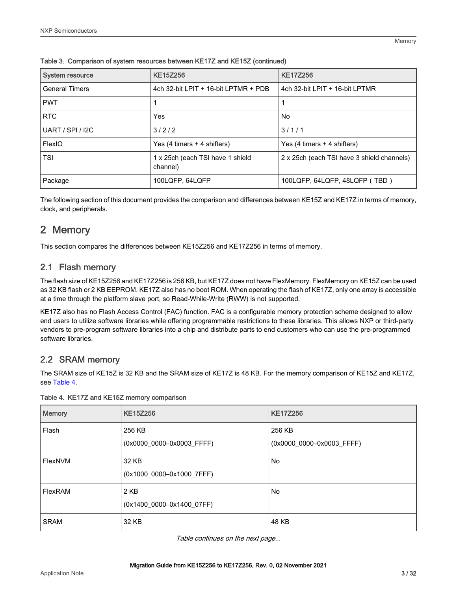| <b>System resource</b>  | <b>KE15Z256</b>                              | <b>KE17Z256</b>                            |
|-------------------------|----------------------------------------------|--------------------------------------------|
| <b>General Timers</b>   | 4ch 32-bit LPIT + 16-bit LPTMR + PDB         | 4ch 32-bit LPIT + 16-bit LPTMR             |
| <b>PWT</b>              |                                              |                                            |
| <b>RTC</b>              | Yes                                          | No                                         |
| <b>UART / SPI / I2C</b> | 3/2/2                                        | 3/1/1                                      |
| FlexIO                  | Yes $(4 \text{ times} + 4 \text{ shifts})$   | Yes $(4 \text{ times} + 4 \text{ shifts})$ |
| <b>TSI</b>              | 1 x 25ch (each TSI have 1 shield<br>channel) | 2 x 25ch (each TSI have 3 shield channels) |
| Package                 | 100LQFP, 64LQFP                              | 100LQFP, 64LQFP, 48LQFP (TBD)              |

<span id="page-2-0"></span>Table 3. Comparison of system resources between KE17Z and KE15Z (continued)

The following section of this document provides the comparison and differences between KE15Z and KE17Z in terms of memory, clock, and peripherals.

# 2 Memory

This section compares the differences between KE15Z256 and KE17Z256 in terms of memory.

### 2.1 Flash memory

The flash size of KE15Z256 and KE17Z256 is 256 KB, but KE17Z does not have FlexMemory. FlexMemory on KE15Z can be used as 32 KB flash or 2 KB EEPROM. KE17Z also has no boot ROM. When operating the flash of KE17Z, only one array is accessible at a time through the platform slave port, so Read-While-Write (RWW) is not supported.

KE17Z also has no Flash Access Control (FAC) function. FAC is a configurable memory protection scheme designed to allow end users to utilize software libraries while offering programmable restrictions to these libraries. This allows NXP or third-party vendors to pre-program software libraries into a chip and distribute parts to end customers who can use the pre-programmed software libraries.

### 2.2 SRAM memory

The SRAM size of KE15Z is 32 KB and the SRAM size of KE17Z is 48 KB. For the memory comparison of KE15Z and KE17Z, see Table 4.

| <b>Memory</b> | <b>KE15Z256</b>           | <b>KE17Z256</b>           |
|---------------|---------------------------|---------------------------|
| Flash         | 256 KB                    | 256 KB                    |
|               | (0x0000 0000-0x0003 FFFF) | (0x0000_0000-0x0003_FFFF) |
| FlexNVM       | 32 KB                     | No                        |
|               | (0x1000_0000-0x1000_7FFF) |                           |
| FlexRAM       | 2 KB                      | No                        |
|               | (0x1400_0000-0x1400_07FF) |                           |
| <b>SRAM</b>   | 32 KB                     | 48 KB                     |

Table 4. KE17Z and KE15Z memory comparison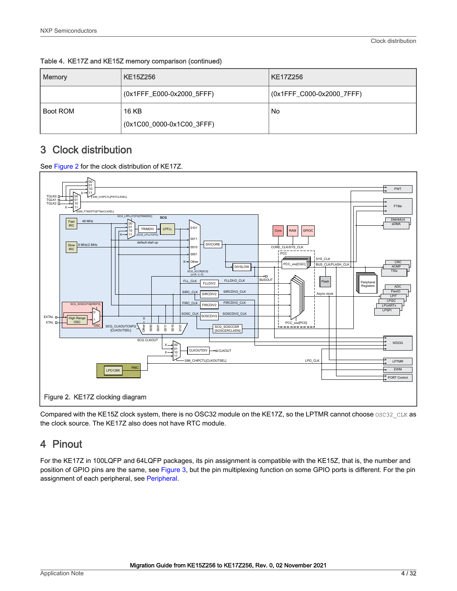| Memory   | <b>KE15Z256</b>                    | KE17Z256                  |
|----------|------------------------------------|---------------------------|
|          | (0x1FFF_E000-0x2000_5FFF)          | (0x1FFF_C000-0x2000_7FFF) |
| Boot ROM | 16 KB<br>(0x1C00_0000-0x1C00_3FFF) | No                        |

<span id="page-3-0"></span>Table 4. KE17Z and KE15Z memory comparison (continued)

# 3 Clock distribution

See Figure 2 for the clock distribution of KE17Z.



Compared with the KE15Z clock system, there is no OSC32 module on the KE17Z, so the LPTMR cannot choose OSC32\_CLK as the clock source. The KE17Z also does not have RTC module.

# 4 Pinout

For the KE17Z in 100LQFP and 64LQFP packages, its pin assignment is compatible with the KE15Z, that is, the number and position of GPIO pins are the same, see [Figure 3](#page-4-0), but the pin multiplexing function on some GPIO ports is different. For the pin assignment of each peripheral, see [Peripheral.](#page-4-0)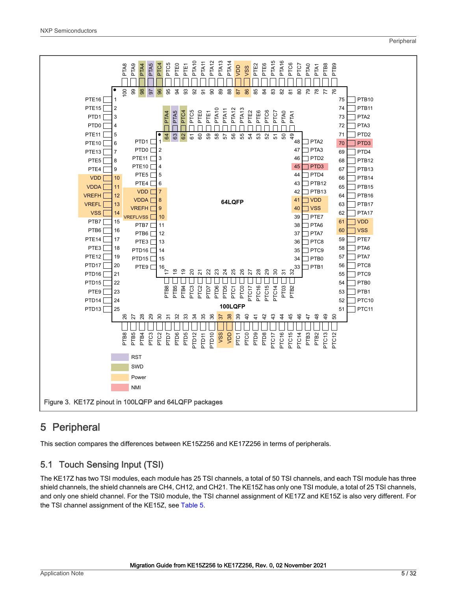<span id="page-4-0"></span>

# 5 Peripheral

This section compares the differences between KE15Z256 and KE17Z256 in terms of peripherals.

## 5.1 Touch Sensing Input (TSI)

The KE17Z has two TSI modules, each module has 25 TSI channels, a total of 50 TSI channels, and each TSI module has three shield channels, the shield channels are CH4, CH12, and CH21. The KE15Z has only one TSI module, a total of 25 TSI channels, and only one shield channel. For the TSI0 module, the TSI channel assignment of KE17Z and KE15Z is also very different. For the TSI channel assignment of the KE15Z, see [Table 5.](#page-5-0)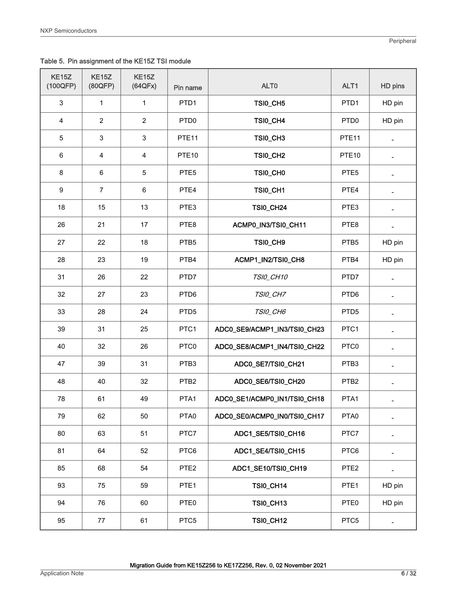<span id="page-5-0"></span>Table 5. Pin assignment of the KE15Z TSI module

| <b>KE15Z</b><br>(100QFP) | <b>KE15Z</b><br>(80QFP)   | <b>KE15Z</b><br>(64QFx) | Pin name          | ALT <sub>0</sub>             | ALT1              | HD pins        |
|--------------------------|---------------------------|-------------------------|-------------------|------------------------------|-------------------|----------------|
| $\sqrt{3}$               | $\mathbf{1}$              | $\mathbf{1}$            | PTD1              | TSI0_CH5                     | PTD <sub>1</sub>  | HD pin         |
| $\overline{4}$           | $\boldsymbol{2}$          | $\boldsymbol{2}$        | PTD <sub>0</sub>  | TSI0_CH4                     | PTD <sub>0</sub>  | HD pin         |
| 5                        | $\ensuremath{\mathsf{3}}$ | $\mathsf 3$             | PTE <sub>11</sub> | TSI0_CH3                     | PTE <sub>11</sub> |                |
| 6                        | $\overline{\mathbf{4}}$   | $\overline{\mathbf{4}}$ | PTE <sub>10</sub> | TSI0_CH2                     | PTE <sub>10</sub> |                |
| $\bf 8$                  | $\,6$                     | $\overline{5}$          | PTE <sub>5</sub>  | TSI0_CH0                     | PTE <sub>5</sub>  |                |
| $\boldsymbol{9}$         | $\overline{7}$            | $\,6\,$                 | PTE4              | TSI0_CH1                     | PTE4              |                |
| 18                       | 15                        | 13                      | PTE3              | <b>TSI0_CH24</b>             | PTE3              |                |
| 26                       | 21                        | 17                      | PTE8              | ACMP0_IN3/TSI0_CH11          | PTE8              |                |
| 27                       | 22                        | 18                      | PTB <sub>5</sub>  | TSI0_CH9                     | PTB5              | HD pin         |
| 28                       | 23                        | 19                      | PTB4              | ACMP1_IN2/TSI0_CH8           | PTB4              | HD pin         |
| 31                       | 26                        | 22                      | PTD7              | TSI0_CH10                    | PTD7              |                |
| 32                       | 27                        | 23                      | PTD <sub>6</sub>  | TSI0_CH7                     | PTD6              |                |
| 33                       | 28                        | 24                      | PTD <sub>5</sub>  | TSI0_CH6                     | PTD <sub>5</sub>  |                |
| 39                       | 31                        | 25                      | PTC1              | ADC0_SE9/ACMP1_IN3/TSI0_CH23 | PTC1              |                |
| 40                       | 32                        | 26                      | PTC0              | ADC0_SE8/ACMP1_IN4/TSI0_CH22 | PTC0              |                |
| 47                       | 39                        | 31                      | PTB <sub>3</sub>  | ADC0_SE7/TSI0_CH21           | PTB3              | $\overline{a}$ |
| 48                       | 40                        | 32                      | PTB <sub>2</sub>  | ADC0_SE6/TSI0_CH20           | PTB <sub>2</sub>  |                |
| 78                       | 61                        | 49                      | PTA1              | ADC0_SE1/ACMP0_IN1/TSI0_CH18 | PTA1              |                |
| 79                       | 62                        | 50                      | PTA0              | ADC0_SE0/ACMP0_IN0/TSI0_CH17 | PTA0              |                |
| 80                       | 63                        | 51                      | PTC7              | ADC1_SE5/TSI0_CH16           | PTC7              |                |
| 81                       | 64                        | 52                      | PTC6              | ADC1_SE4/TSI0_CH15           | PTC6              |                |
| 85                       | 68                        | 54                      | PTE <sub>2</sub>  | ADC1_SE10/TSI0_CH19          | PTE <sub>2</sub>  |                |
| 93                       | 75                        | 59                      | PTE <sub>1</sub>  | <b>TSI0_CH14</b>             | PTE <sub>1</sub>  | HD pin         |
| 94                       | 76                        | 60                      | PTE0              | <b>TSI0_CH13</b>             | PTE0              | HD pin         |
| 95                       | 77                        | 61                      | PTC5              | <b>TSI0_CH12</b>             | PTC5              |                |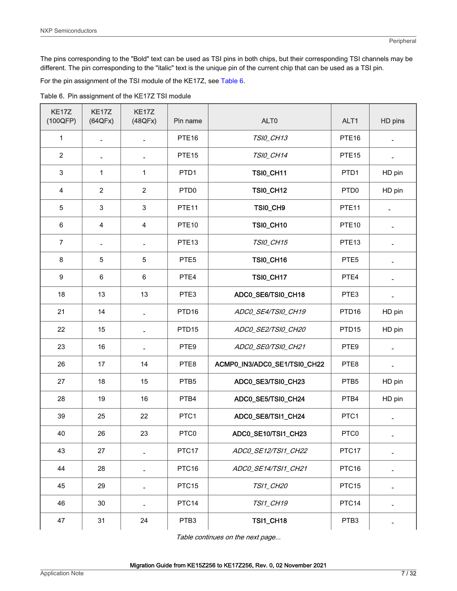The pins corresponding to the "Bold" text can be used as TSI pins in both chips, but their corresponding TSI channels may be different. The pin corresponding to the "italic" text is the unique pin of the current chip that can be used as a TSI pin.

For the pin assignment of the TSI module of the KE17Z, see Table 6.

Table 6. Pin assignment of the KE17Z TSI module

| KE17Z<br>(100QFP) | <b>KE17Z</b><br>(64QFx)  | <b>KE17Z</b><br>(48QFx)  | Pin name          | ALT <sub>0</sub>             | ALT1              | HD pins        |
|-------------------|--------------------------|--------------------------|-------------------|------------------------------|-------------------|----------------|
| 1                 |                          | $\overline{\phantom{m}}$ | PTE <sub>16</sub> | TSI0_CH13                    | PTE <sub>16</sub> |                |
| $\overline{2}$    |                          |                          | PTE <sub>15</sub> | TSI0_CH14                    | PTE <sub>15</sub> |                |
| $\mathsf 3$       | 1                        | 1                        | PTD1              | <b>TSI0_CH11</b>             | PTD1              | HD pin         |
| 4                 | $\sqrt{2}$               | $\overline{2}$           | PTD <sub>0</sub>  | <b>TSI0_CH12</b>             | PTD <sub>0</sub>  | HD pin         |
| 5                 | $\sqrt{3}$               | $\mathbf{3}$             | PTE <sub>11</sub> | TSI0_CH9                     | PTE <sub>11</sub> |                |
| 6                 | $\overline{\mathbf{4}}$  | $\overline{\mathbf{4}}$  | PTE <sub>10</sub> | <b>TSI0_CH10</b>             | PTE <sub>10</sub> |                |
| $\overline{7}$    | $\overline{\phantom{a}}$ | $\overline{\phantom{0}}$ | PTE <sub>13</sub> | TSI0_CH15                    | PTE <sub>13</sub> |                |
| $\bf 8$           | $\mathbf 5$              | $\sqrt{5}$               | PTE <sub>5</sub>  | <b>TSI0_CH16</b>             | PTE <sub>5</sub>  |                |
| $\boldsymbol{9}$  | $\,6$                    | $\,6$                    | PTE4              | <b>TSI0_CH17</b>             | PTE4              |                |
| 18                | 13                       | 13                       | PTE3              | ADC0_SE6/TSI0_CH18           | PTE3              |                |
| 21                | 14                       | $\overline{a}$           | PTD <sub>16</sub> | ADC0_SE4/TSI0_CH19           | PTD <sub>16</sub> | HD pin         |
| 22                | 15                       | $\frac{1}{2}$            | PTD <sub>15</sub> | ADCO_SE2/TSIO_CH20           | PTD <sub>15</sub> | HD pin         |
| 23                | 16                       | $\overline{a}$           | PTE9              | ADCO_SE0/TSI0_CH21           | PTE9              |                |
| 26                | 17                       | 14                       | PTE8              | ACMP0_IN3/ADC0_SE1/TSI0_CH22 | PTE8              | $\overline{a}$ |
| 27                | 18                       | 15                       | PTB <sub>5</sub>  | ADC0_SE3/TSI0_CH23           | PTB5              | HD pin         |
| 28                | 19                       | 16                       | PTB4              | ADC0_SE5/TSI0_CH24           | PTB4              | HD pin         |
| 39                | 25                       | 22                       | PTC1              | ADC0_SE8/TSI1_CH24           | PTC1              | ÷              |
| 40                | 26                       | 23                       | PTC0              | ADC0_SE10/TSI1_CH23          | PTC0              |                |
| 43                | 27                       |                          | PTC17             | ADC0_SE12/TSI1_CH22          | PTC17             |                |
| 44                | 28                       |                          | PTC16             | ADC0_SE14/TSI1_CH21          | PTC16             |                |
| 45                | 29                       |                          | PTC <sub>15</sub> | TSI1_CH20                    | PTC <sub>15</sub> |                |
| 46                | 30                       |                          | PTC14             | <b>TSI1_CH19</b>             | PTC14             |                |
| 47                | 31                       | 24                       | PTB <sub>3</sub>  | <b>TSI1_CH18</b>             | PTB <sub>3</sub>  |                |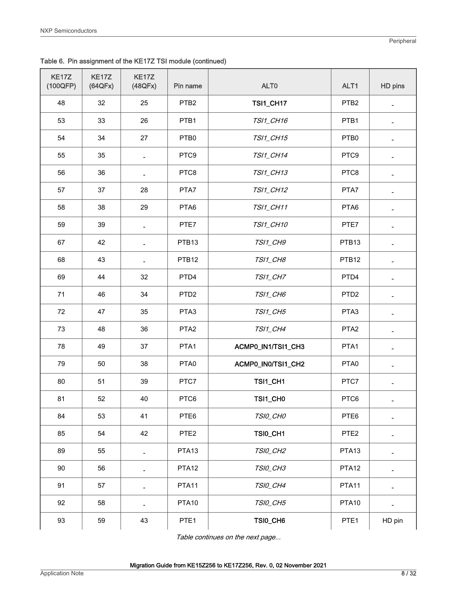| KE17Z<br>(100QFP) | KE17Z<br>(64QFx) | KE17Z<br>(48QFx)         | Pin name          | ALT0               | ALT1              | HD pins                  |
|-------------------|------------------|--------------------------|-------------------|--------------------|-------------------|--------------------------|
| 48                | 32               | 25                       | PTB <sub>2</sub>  | <b>TSI1_CH17</b>   | PTB <sub>2</sub>  | $\overline{\phantom{a}}$ |
| 53                | 33               | 26                       | PTB1              | TSI1_CH16          | PTB1              | ÷                        |
| 54                | 34               | 27                       | PTB0              | TSI1_CH15          | PTB0              |                          |
| 55                | 35               |                          | PTC9              | <b>TSI1_CH14</b>   | PTC9              |                          |
| 56                | 36               |                          | PTC8              | <b>TSI1_CH13</b>   | PTC8              |                          |
| 57                | 37               | 28                       | PTA7              | TSI1_CH12          | PTA7              |                          |
| 58                | 38               | 29                       | PTA6              | TSI1_CH11          | PTA6              |                          |
| 59                | 39               | $\overline{a}$           | PTE7              | TSI1_CH10          | PTE7              |                          |
| 67                | 42               | $\overline{\phantom{m}}$ | PTB13             | TSI1_CH9           | PTB13             |                          |
| 68                | 43               | $\overline{\phantom{a}}$ | PTB <sub>12</sub> | TSI1_CH8           | PTB <sub>12</sub> |                          |
| 69                | 44               | 32                       | PTD4              | TSI1_CH7           | PTD4              |                          |
| 71                | 46               | 34                       | PTD <sub>2</sub>  | TSI1_CH6           | PTD <sub>2</sub>  |                          |
| 72                | 47               | 35                       | PTA3              | <b>TSI1_CH5</b>    | PTA3              |                          |
| 73                | 48               | 36                       | PTA <sub>2</sub>  | TSI1_CH4           | PTA <sub>2</sub>  |                          |
| 78                | 49               | 37                       | PTA1              | ACMP0_IN1/TSI1_CH3 | PTA1              |                          |
| 79                | 50               | 38                       | PTA0              | ACMP0_IN0/TSI1_CH2 | PTA0              |                          |
| 80                | 51               | 39                       | PTC7              | <b>TSI1_CH1</b>    | PTC7              | $\overline{a}$           |
| 81                | 52               | 40                       | PTC6              | TSI1_CH0           | PTC6              |                          |
| 84                | 53               | 41                       | PTE6              | TSIO_CHO           | PTE6              |                          |
| 85                | 54               | 42                       | PTE <sub>2</sub>  | TSI0_CH1           | PTE <sub>2</sub>  |                          |
| 89                | 55               | $\blacksquare$           | PTA <sub>13</sub> | TSI0_CH2           | PTA <sub>13</sub> |                          |
| 90                | 56               |                          | PTA <sub>12</sub> | TSI0_CH3           | PTA <sub>12</sub> |                          |
| 91                | 57               | $\blacksquare$           | PTA11             | TSI0_CH4           | PTA11             |                          |
| 92                | 58               | $\overline{\phantom{a}}$ | PTA <sub>10</sub> | TSI0_CH5           | PTA <sub>10</sub> |                          |
| 93                | 59               | 43                       | PTE <sub>1</sub>  | TSI0_CH6           | PTE <sub>1</sub>  | HD pin                   |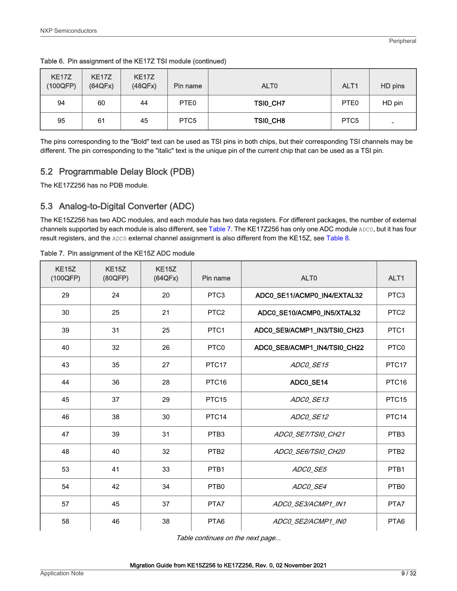| <b>KE17Z</b><br>(100QFP) | <b>KE17Z</b><br>(64QFx) | <b>KE17Z</b><br>(48QFx) | Pin name         | ALT <sub>0</sub> | ALT <sub>1</sub> | HD pins |
|--------------------------|-------------------------|-------------------------|------------------|------------------|------------------|---------|
| 94                       | 60                      | 44                      | PTE0             | TSI0_CH7         | PTE <sub>0</sub> | HD pin  |
| 95                       | 61                      | 45                      | PTC <sub>5</sub> | TSI0_CH8         | PTC <sub>5</sub> | -       |

Table 6. Pin assignment of the KE17Z TSI module (continued)

The pins corresponding to the "Bold" text can be used as TSI pins in both chips, but their corresponding TSI channels may be different. The pin corresponding to the "italic" text is the unique pin of the current chip that can be used as a TSI pin.

### 5.2 Programmable Delay Block (PDB)

The KE17Z256 has no PDB module.

### 5.3 Analog-to-Digital Converter (ADC)

The KE15Z256 has two ADC modules, and each module has two data registers. For different packages, the number of external channels supported by each module is also different, see Table 7. The KE17Z256 has only one ADC module ADC0, but it has four result registers, and the ADC0 external channel assignment is also different from the KE15Z, see [Table 8](#page-9-0).

| <b>KE15Z</b><br>(100QFP) | <b>KE15Z</b><br>(80QFP) | <b>KE15Z</b><br>(64QFx) | Pin name          | ALT <sub>0</sub>             | ALT <sub>1</sub>  |
|--------------------------|-------------------------|-------------------------|-------------------|------------------------------|-------------------|
| 29                       | 24                      | 20                      | PTC <sub>3</sub>  | ADC0_SE11/ACMP0_IN4/EXTAL32  | PTC <sub>3</sub>  |
| 30                       | 25                      | 21                      | PTC <sub>2</sub>  | ADC0_SE10/ACMP0_IN5/XTAL32   | PTC <sub>2</sub>  |
| 39                       | 31                      | 25                      | PTC <sub>1</sub>  | ADC0_SE9/ACMP1_IN3/TSI0_CH23 | PTC1              |
| 40                       | 32                      | 26                      | PTC0              | ADC0_SE8/ACMP1_IN4/TSI0_CH22 | PTC0              |
| 43                       | 35                      | 27                      | PTC <sub>17</sub> | ADCO SE15                    | PTC <sub>17</sub> |
| 44                       | 36                      | 28                      | PTC <sub>16</sub> | ADC0_SE14                    | PTC <sub>16</sub> |
| 45                       | 37                      | 29                      | PTC <sub>15</sub> | ADC0_SE13                    | PTC <sub>15</sub> |
| 46                       | 38                      | 30                      | PTC14             | ADCO SE12                    | PTC <sub>14</sub> |
| 47                       | 39                      | 31                      | PTB <sub>3</sub>  | ADCO_SE7/TSI0_CH21           | PTB <sub>3</sub>  |
| 48                       | 40                      | 32                      | PTB <sub>2</sub>  | ADCO SE6/TSIO CH20           | PTB <sub>2</sub>  |
| 53                       | 41                      | 33                      | PTB1              | ADCO SE5                     | PTB1              |
| 54                       | 42                      | 34                      | PTB <sub>0</sub>  | ADCO SE4                     | PTB <sub>0</sub>  |
| 57                       | 45                      | 37                      | PTA7              | ADCO SE3/ACMP1 IN1           | PTA7              |
| 58                       | 46                      | 38                      | PTA6              | ADCO SE2/ACMP1 INO           | PTA6              |

Table 7. Pin assignment of the KE15Z ADC module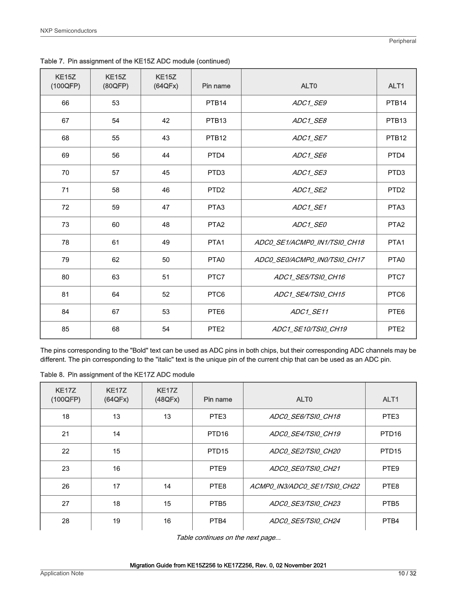| <b>KE15Z</b><br>(100QFP) | <b>KE15Z</b><br>(80QFP) | <b>KE15Z</b><br>(64QFx) | Pin name          | ALT <sub>0</sub>             | ALT1              |
|--------------------------|-------------------------|-------------------------|-------------------|------------------------------|-------------------|
| 66                       | 53                      |                         | PTB <sub>14</sub> | ADC1_SE9                     | PTB <sub>14</sub> |
| 67                       | 54                      | 42                      | PTB <sub>13</sub> | ADC1_SE8                     | PTB <sub>13</sub> |
| 68                       | 55                      | 43                      | PTB <sub>12</sub> | ADC1_SE7                     | PTB <sub>12</sub> |
| 69                       | 56                      | 44                      | PTD4              | ADC1_SE6                     | PTD4              |
| 70                       | 57                      | 45                      | PTD <sub>3</sub>  | ADC1_SE3                     | PTD <sub>3</sub>  |
| 71                       | 58                      | 46                      | PTD <sub>2</sub>  | ADC1_SE2                     | PTD <sub>2</sub>  |
| 72                       | 59                      | 47                      | PTA <sub>3</sub>  | ADC1_SE1                     | PTA3              |
| 73                       | 60                      | 48                      | PTA <sub>2</sub>  | ADC1_SE0                     | PTA <sub>2</sub>  |
| 78                       | 61                      | 49                      | PTA1              | ADCO_SE1/ACMPO_IN1/TSIO_CH18 | PTA1              |
| 79                       | 62                      | 50                      | PTA <sub>0</sub>  | ADCO SEO/ACMPO INO/TSIO CH17 | PTA <sub>0</sub>  |
| 80                       | 63                      | 51                      | PTC7              | ADC1_SE5/TSI0_CH16           | PTC7              |
| 81                       | 64                      | 52                      | PTC6              | ADC1_SE4/TSI0_CH15           | PTC6              |
| 84                       | 67                      | 53                      | PTE <sub>6</sub>  | ADC1_SE11                    | PTE <sub>6</sub>  |
| 85                       | 68                      | 54                      | PTE <sub>2</sub>  | ADC1_SE10/TSI0_CH19          | PTE <sub>2</sub>  |

<span id="page-9-0"></span>Table 7. Pin assignment of the KE15Z ADC module (continued)

The pins corresponding to the "Bold" text can be used as ADC pins in both chips, but their corresponding ADC channels may be different. The pin corresponding to the "italic" text is the unique pin of the current chip that can be used as an ADC pin.

|  | Table 8. Pin assignment of the KE17Z ADC module |  |  |  |
|--|-------------------------------------------------|--|--|--|
|--|-------------------------------------------------|--|--|--|

| <b>KE17Z</b><br>(100QFP) | <b>KE17Z</b><br>(64QFx) | <b>KE17Z</b><br>(48QFx) | Pin name          | ALT <sub>0</sub>             | ALT <sub>1</sub>  |
|--------------------------|-------------------------|-------------------------|-------------------|------------------------------|-------------------|
| 18                       | 13                      | 13                      | PTE <sub>3</sub>  | ADCO SE6/TSIO CH18           | PTE <sub>3</sub>  |
| 21                       | 14                      |                         | PTD <sub>16</sub> | ADCO SE4/TSIO CH19           | PTD <sub>16</sub> |
| 22                       | 15                      |                         | PTD <sub>15</sub> | ADCO SE2/TSIO CH20           | PTD <sub>15</sub> |
| 23                       | 16                      |                         | PTE <sub>9</sub>  | ADCO SEO/TSIO CH21           | PTE <sub>9</sub>  |
| 26                       | 17                      | 14                      | PTE8              | ACMPO IN3/ADCO SE1/TSIO CH22 | PTE8              |
| 27                       | 18                      | 15                      | PTB <sub>5</sub>  | ADCO SE3/TSIO CH23           | PTB <sub>5</sub>  |
| 28                       | 19                      | 16                      | PTB4              | ADC0 SE5/TSI0 CH24           | PTB4              |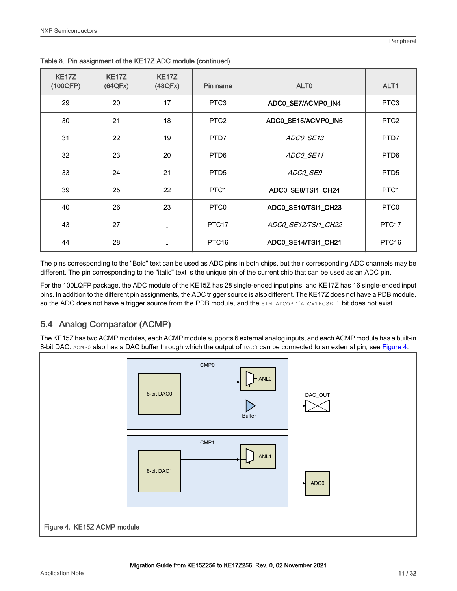| <b>KE17Z</b><br>(100QFP) | <b>KE17Z</b><br>(64QFx) | <b>KE17Z</b><br>(48QFx) | Pin name          | ALT <sub>0</sub>    | ALT <sub>1</sub>  |
|--------------------------|-------------------------|-------------------------|-------------------|---------------------|-------------------|
| 29                       | 20                      | 17                      | PTC <sub>3</sub>  | ADC0_SE7/ACMP0_IN4  | PTC <sub>3</sub>  |
| 30                       | 21                      | 18                      | PTC <sub>2</sub>  | ADC0_SE15/ACMP0_IN5 | PTC <sub>2</sub>  |
| 31                       | 22                      | 19                      | PTD7              | ADCO SE13           | PTD7              |
| 32                       | 23                      | 20                      | PTD <sub>6</sub>  | ADCO_SE11           | PTD <sub>6</sub>  |
| 33                       | 24                      | 21                      | PTD <sub>5</sub>  | ADCO_SE9            | PTD <sub>5</sub>  |
| 39                       | 25                      | 22                      | PTC <sub>1</sub>  | ADC0_SE8/TSI1_CH24  | PTC <sub>1</sub>  |
| 40                       | 26                      | 23                      | PTC <sub>0</sub>  | ADC0_SE10/TSI1_CH23 | PTC <sub>0</sub>  |
| 43                       | 27                      |                         | PTC <sub>17</sub> | ADC0 SE12/TSI1 CH22 | PTC <sub>17</sub> |
| 44                       | 28                      |                         | PTC <sub>16</sub> | ADC0_SE14/TSI1_CH21 | PTC <sub>16</sub> |

Table 8. Pin assignment of the KE17Z ADC module (continued)

The pins corresponding to the "Bold" text can be used as ADC pins in both chips, but their corresponding ADC channels may be different. The pin corresponding to the "italic" text is the unique pin of the current chip that can be used as an ADC pin.

For the 100LQFP package, the ADC module of the KE15Z has 28 single-ended input pins, and KE17Z has 16 single-ended input pins. In addition to the different pin assignments, the ADC trigger source is also different. The KE17Z does not have a PDB module, so the ADC does not have a trigger source from the PDB module, and the SIM ADCOPT [ADCxTRGSEL] bit does not exist.

### 5.4 Analog Comparator (ACMP)

The KE15Z has two ACMP modules, each ACMP module supports 6 external analog inputs, and each ACMP module has a built-in 8-bit DAC. ACMP0 also has a DAC buffer through which the output of DAC0 can be connected to an external pin, see Figure 4.

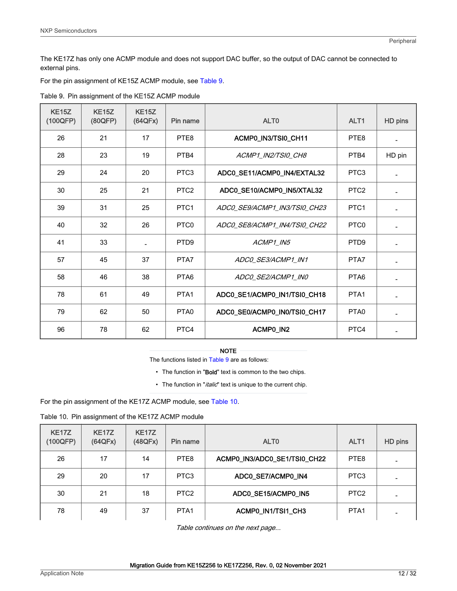<span id="page-11-0"></span>The KE17Z has only one ACMP module and does not support DAC buffer, so the output of DAC cannot be connected to external pins.

For the pin assignment of KE15Z ACMP module, see Table 9.

| <b>KE15Z</b><br>(100QFP) | <b>KE15Z</b><br>(80QFP) | <b>KE15Z</b><br>(64QFx) | Pin name         | ALT <sub>0</sub>             | ALT <sub>1</sub> | HD pins |
|--------------------------|-------------------------|-------------------------|------------------|------------------------------|------------------|---------|
| 26                       | 21                      | 17                      | PTE8             | ACMP0_IN3/TSI0_CH11          | PTE8             |         |
| 28                       | 23                      | 19                      | PTB4             | ACMP1 IN2/TSI0 CH8           | PTB4             | HD pin  |
| 29                       | 24                      | 20                      | PTC <sub>3</sub> | ADC0_SE11/ACMP0_IN4/EXTAL32  | PTC <sub>3</sub> |         |
| 30                       | 25                      | 21                      | PTC <sub>2</sub> | ADC0_SE10/ACMP0_IN5/XTAL32   | PTC <sub>2</sub> |         |
| 39                       | 31                      | 25                      | PTC <sub>1</sub> | ADCO SE9/ACMP1 IN3/TSIO CH23 | PTC <sub>1</sub> |         |
| 40                       | 32                      | 26                      | PTC <sub>0</sub> | ADC0_SE8/ACMP1_IN4/TSI0_CH22 | PTC <sub>0</sub> |         |
| 41                       | 33                      |                         | PTD <sub>9</sub> | ACMP1_IN5                    | PTD <sub>9</sub> |         |
| 57                       | 45                      | 37                      | PTA7             | ADC0 SE3/ACMP1 IN1           | PTA7             |         |
| 58                       | 46                      | 38                      | PTA6             | ADCO_SE2/ACMP1_IN0           | PTA <sub>6</sub> |         |
| 78                       | 61                      | 49                      | PTA <sub>1</sub> | ADC0_SE1/ACMP0_IN1/TSI0_CH18 | PTA <sub>1</sub> |         |
| 79                       | 62                      | 50                      | PTA <sub>0</sub> | ADC0_SE0/ACMP0_IN0/TSI0_CH17 | PTA <sub>0</sub> |         |
| 96                       | 78                      | 62                      | PTC4             | ACMP0_IN2                    | PTC4             |         |

Table 9. Pin assignment of the KE15Z ACMP module

#### NOTE

The functions listed in Table 9 are as follows:

- The function in "Bold" text is common to the two chips.
- The function in "*italic*" text is unique to the current chip.

For the pin assignment of the KE17Z ACMP module, see Table 10.

Table 10. Pin assignment of the KE17Z ACMP module

| <b>KE17Z</b><br>(100QFP) | <b>KE17Z</b><br>(64QFx) | <b>KE17Z</b><br>(48QFx) | Pin name         | ALT <sub>0</sub>             | ALT <sub>1</sub> | HD pins |
|--------------------------|-------------------------|-------------------------|------------------|------------------------------|------------------|---------|
| 26                       | 17                      | 14                      | PTE8             | ACMP0_IN3/ADC0_SE1/TSI0_CH22 | PTE8             |         |
| 29                       | 20                      | 17                      | PTC <sub>3</sub> | ADC0_SE7/ACMP0_IN4           | PTC <sub>3</sub> |         |
| 30                       | 21                      | 18                      | PTC <sub>2</sub> | ADC0_SE15/ACMP0_IN5          | PTC <sub>2</sub> |         |
| 78                       | 49                      | 37                      | PTA <sub>1</sub> | ACMP0_IN1/TSI1_CH3           | PTA <sub>1</sub> |         |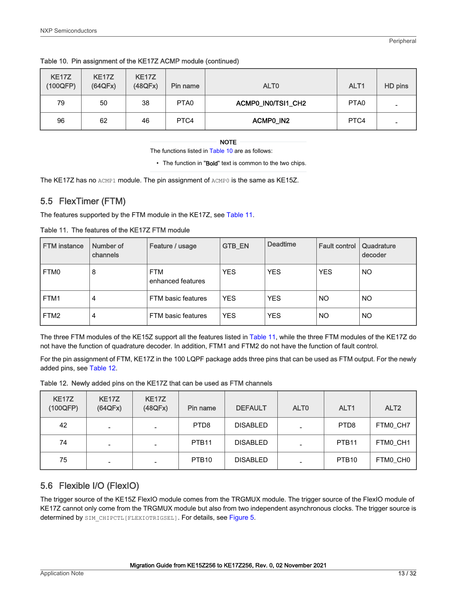|  |  | Table 10. Pin assignment of the KE17Z ACMP module (continued) |  |
|--|--|---------------------------------------------------------------|--|
|--|--|---------------------------------------------------------------|--|

| <b>KE17Z</b><br>(100QFP) | <b>KE17Z</b><br>(64QFx) | <b>KE17Z</b><br>(48QFx) | Pin name         | ALT <sub>0</sub>   | ALT <sub>1</sub> | HD pins                  |
|--------------------------|-------------------------|-------------------------|------------------|--------------------|------------------|--------------------------|
| 79                       | 50                      | 38                      | PTA <sub>0</sub> | ACMP0_IN0/TSI1_CH2 | PTA <sub>0</sub> |                          |
| 96                       | 62                      | 46                      | PTC4             | ACMPO_IN2          | PTC4             | $\overline{\phantom{0}}$ |

The functions listed in [Table 10](#page-11-0) are as follows:

• The function in "Bold" text is common to the two chips.

The KE17Z has no ACMP1 module. The pin assignment of ACMP0 is the same as KE15Z.

### 5.5 FlexTimer (FTM)

The features supported by the FTM module in the KE17Z, see Table 11.

| <b>FTM</b> instance | Number of<br>channels | Feature / usage                 | <b>GTB_EN</b> | <b>Deadtime</b> | <b>Fault control</b> | Quadrature<br>decoder |
|---------------------|-----------------------|---------------------------------|---------------|-----------------|----------------------|-----------------------|
| FTM0                | 8                     | <b>FTM</b><br>enhanced features | <b>YES</b>    | <b>YES</b>      | <b>YES</b>           | <b>NO</b>             |
| FTM1                | $\overline{4}$        | FTM basic features              | YES           | <b>YES</b>      | NO                   | <b>NO</b>             |
| FTM <sub>2</sub>    | $\overline{4}$        | FTM basic features              | YES           | <b>YES</b>      | <b>NO</b>            | NO                    |

Table 11. The features of the KE17Z FTM module

The three FTM modules of the KE15Z support all the features listed in Table 11, while the three FTM modules of the KE17Z do not have the function of quadrature decoder. In addition, FTM1 and FTM2 do not have the function of fault control.

For the pin assignment of FTM, KE17Z in the 100 LQPF package adds three pins that can be used as FTM output. For the newly added pins, see Table 12.

|  |  |  |  | Table 12. Newly added pins on the KE17Z that can be used as FTM channels |  |
|--|--|--|--|--------------------------------------------------------------------------|--|
|--|--|--|--|--------------------------------------------------------------------------|--|

| <b>KE17Z</b><br>(100QFP) | <b>KE17Z</b><br>(64QFx)  | <b>KE17Z</b><br>(48QFx) | Pin name          | <b>DEFAULT</b>  | ALT <sub>0</sub> | ALT <sub>1</sub>  | ALT <sub>2</sub> |
|--------------------------|--------------------------|-------------------------|-------------------|-----------------|------------------|-------------------|------------------|
| 42                       | $\overline{\phantom{0}}$ |                         | PTD <sub>8</sub>  | <b>DISABLED</b> |                  | PTD <sub>8</sub>  | FTM0_CH7         |
| 74                       |                          |                         | PTB <sub>11</sub> | <b>DISABLED</b> |                  | PTB <sub>11</sub> | FTM0 CH1         |
| 75                       |                          |                         | PTB <sub>10</sub> | <b>DISABLED</b> |                  | PTB <sub>10</sub> | FTM0_CH0         |

### 5.6 Flexible I/O (FlexIO)

The trigger source of the KE15Z FlexIO module comes from the TRGMUX module. The trigger source of the FlexIO module of KE17Z cannot only come from the TRGMUX module but also from two independent asynchronous clocks. The trigger source is determined by SIM CHIPCTL[FLEXIOTRIGSEL]. For details, see [Figure 5](#page-13-0).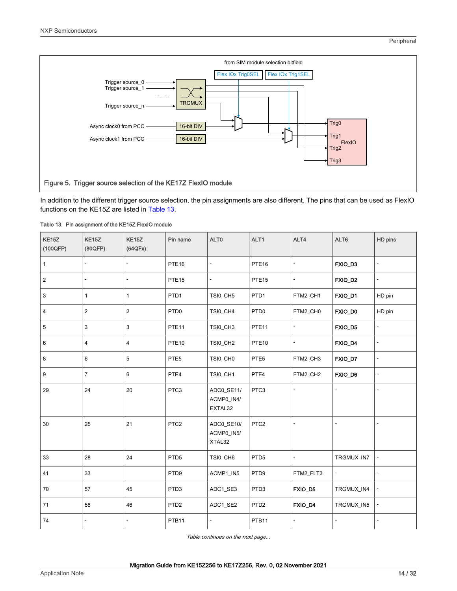<span id="page-13-0"></span>

In addition to the different trigger source selection, the pin assignments are also different. The pins that can be used as FlexIO functions on the KE15Z are listed in Table 13.

| KE15Z<br>(100QFP) | KE15Z<br>(80QFP) | KE15Z<br>(64QFx) | Pin name          | ALT0                                | ALT1              | ALT4                     | ALT6                     | HD pins                  |
|-------------------|------------------|------------------|-------------------|-------------------------------------|-------------------|--------------------------|--------------------------|--------------------------|
| $\mathbf{1}$      |                  | $\overline{a}$   | PTE <sub>16</sub> | 4                                   | PTE <sub>16</sub> | $\overline{a}$           | FXIO_D3                  | $\overline{a}$           |
| $\overline{2}$    | ٠                | ٠                | PTE <sub>15</sub> | $\overline{\phantom{0}}$            | PTE <sub>15</sub> | $\overline{\phantom{a}}$ | FXIO_D2                  | $\overline{\phantom{a}}$ |
| $\mathbf{3}$      | 1                | $\mathbf{1}$     | PTD <sub>1</sub>  | TSI0_CH5                            | PTD <sub>1</sub>  | FTM2_CH1                 | FXIO_D1                  | HD pin                   |
| $\overline{4}$    | 2                | $\overline{c}$   | PTD <sub>0</sub>  | TSI0_CH4                            | PTD <sub>0</sub>  | FTM2_CH0                 | FXIO_D0                  | HD pin                   |
| 5                 | 3                | 3                | PTE <sub>11</sub> | TSI0_CH3                            | PTE <sub>11</sub> | $\overline{a}$           | FXIO_D5                  | $\overline{a}$           |
| 6                 | 4                | $\overline{4}$   | <b>PTE10</b>      | TSI0_CH2                            | PTE <sub>10</sub> | $\overline{\phantom{a}}$ | FXIO_D4                  | ÷                        |
| 8                 | 6                | 5                | PTE <sub>5</sub>  | TSI0_CH0                            | PTE5              | FTM2_CH3                 | FXIO_D7                  | $\overline{a}$           |
| 9                 | $\overline{7}$   | 6                | PTE4              | TSI0_CH1                            | PTE4              | FTM2_CH2                 | FXIO_D6                  | $\overline{a}$           |
| 29                | 24               | 20               | PTC3              | ADC0_SE11/<br>ACMP0_IN4/<br>EXTAL32 | PTC3              | ÷,                       |                          | ä,                       |
| 30                | 25               | 21               | PTC <sub>2</sub>  | ADC0_SE10/<br>ACMP0_IN5/<br>XTAL32  | PTC <sub>2</sub>  |                          |                          |                          |
| 33                | 28               | 24               | PTD <sub>5</sub>  | TSI0_CH6                            | PTD <sub>5</sub>  | $\blacksquare$           | TRGMUX_IN7               |                          |
| 41                | 33               |                  | PTD9              | ACMP1_IN5                           | PTD9              | FTM2_FLT3                | $\overline{\phantom{a}}$ | ÷,                       |
| 70                | 57               | 45               | PTD3              | ADC1_SE3                            | PTD3              | FXIO_D5                  | TRGMUX_IN4               | ÷                        |
| 71                | 58               | 46               | PTD <sub>2</sub>  | ADC1_SE2                            | PTD <sub>2</sub>  | FXIO_D4                  | TRGMUX_IN5               |                          |
| 74                |                  | $\overline{a}$   | PTB11             | $\overline{\phantom{0}}$            | PTB11             | $\blacksquare$           |                          | $\overline{a}$           |

|  | Table 13. Pin assignment of the KE15Z FlexIO module |  |  |
|--|-----------------------------------------------------|--|--|
|  |                                                     |  |  |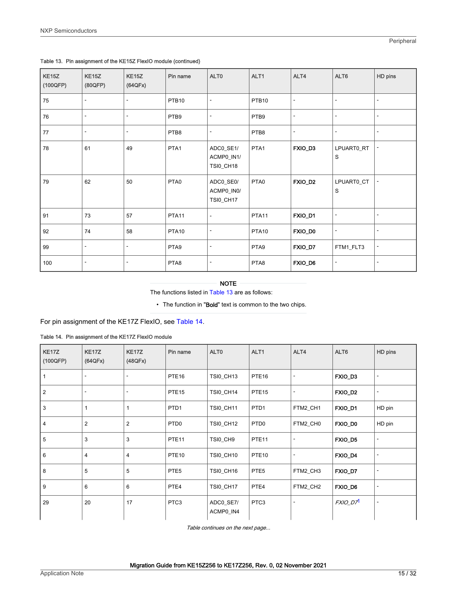| <b>KE15Z</b><br>(100QFP) | KE <sub>15</sub> Z<br>(80QFP) | KE <sub>15</sub> Z<br>(64QFx) | Pin name          | ALT0                                        | ALT1              | ALT4                     | ALT6                     | HD pins |
|--------------------------|-------------------------------|-------------------------------|-------------------|---------------------------------------------|-------------------|--------------------------|--------------------------|---------|
| 75                       |                               | $\qquad \qquad \blacksquare$  | PTB <sub>10</sub> |                                             | PTB <sub>10</sub> | $\overline{\phantom{a}}$ | $\overline{\phantom{a}}$ |         |
| 76                       |                               |                               | PTB9              |                                             | PTB9              | $\overline{\phantom{a}}$ | $\overline{\phantom{a}}$ |         |
| 77                       | ٠                             | ٠                             | PTB8              | $\overline{\phantom{a}}$                    | PTB8              | $\overline{\phantom{a}}$ | $\sim$                   |         |
| 78                       | 61                            | 49                            | PTA1              | ADC0_SE1/<br>ACMP0_IN1/<br>TSI0_CH18        | PTA1              | FXIO_D3                  | LPUART0_RT<br>S          |         |
| 79                       | 62                            | 50                            | PTA0              | ADC0_SE0/<br>ACMP0_IN0/<br><b>TSI0_CH17</b> | PTA0              | FXIO_D2                  | LPUART0_CT<br>S          |         |
| 91                       | 73                            | 57                            | PTA11             | $\overline{\phantom{a}}$                    | PTA <sub>11</sub> | FXIO_D1                  | $\overline{\phantom{a}}$ |         |
| 92                       | 74                            | 58                            | <b>PTA10</b>      | -                                           | <b>PTA10</b>      | FXIO_D0                  | $\overline{\phantom{a}}$ |         |
| 99                       | ٠                             | ٠                             | PTA9              | $\overline{\phantom{a}}$                    | PTA9              | FXIO_D7                  | FTM1_FLT3                |         |
| 100                      | ٠                             | ٠                             | PTA8              |                                             | PTA8              | FXIO_D6                  | $\overline{\phantom{a}}$ |         |

#### <span id="page-14-0"></span>Table 13. Pin assignment of the KE15Z FlexIO module (continued)

#### NOTE

The functions listed in [Table 13](#page-13-0) are as follows:

• The function in "Bold" text is common to the two chips.

For pin assignment of the KE17Z FlexIO, see Table 14.

#### Table 14. Pin assignment of the KE17Z FlexIO module

| <b>KE17Z</b><br>(100QFP) | KE17Z<br>(64QFx) | KE17Z<br>(48QFx) | Pin name          | ALT <sub>0</sub>       | ALT <sub>1</sub>  | ALT4     | ALT6                 | HD pins                  |
|--------------------------|------------------|------------------|-------------------|------------------------|-------------------|----------|----------------------|--------------------------|
| 1                        |                  |                  | PTE <sub>16</sub> | TSI0_CH13              | PTE <sub>16</sub> |          | FXIO_D3              |                          |
| $\vert$ 2                |                  | ۰                | PTE <sub>15</sub> | TSI0_CH14              | PTE <sub>15</sub> | ٠        | FXIO_D2              | $\overline{\phantom{a}}$ |
| 3                        |                  |                  | PTD <sub>1</sub>  | <b>TSI0_CH11</b>       | PTD <sub>1</sub>  | FTM2_CH1 | FXIO_D1              | HD pin                   |
| 4                        | $\overline{2}$   | $\overline{2}$   | PTD <sub>0</sub>  | <b>TSI0_CH12</b>       | PTD <sub>0</sub>  | FTM2_CH0 | FXIO_D0              | HD pin                   |
| 5                        | 3                | 3                | PTE <sub>11</sub> | TSI0_CH9               | PTE <sub>11</sub> |          | FXIO_D5              | ٠                        |
| 6                        | 4                | 4                | PTE <sub>10</sub> | TSI0_CH10              | PTE <sub>10</sub> | ٠        | FXIO_D4              |                          |
| 8                        | 5                | 5                | PTE <sub>5</sub>  | TSI0_CH16              | PTE <sub>5</sub>  | FTM2_CH3 | FXIO_D7              | $\overline{\phantom{a}}$ |
| 9                        | 6                | 6                | PTE4              | TSI0_CH17              | PTE4              | FTM2_CH2 | FXIO_D6              |                          |
| 29                       | 20               | 17               | PTC3              | ADC0_SE7/<br>ACMP0_IN4 | PTC3              |          | FXIO_D7 <sup>1</sup> | ٠                        |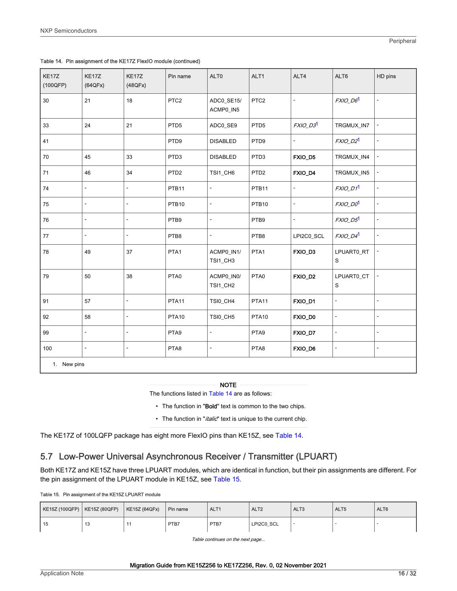| KE17Z<br>(100QFP) | KE17Z<br>(64QFx)         | KE17Z<br>(48QFx)         | Pin name          | ALT0                     | ALT1              | ALT4           | ALT6                     | HD pins                  |
|-------------------|--------------------------|--------------------------|-------------------|--------------------------|-------------------|----------------|--------------------------|--------------------------|
| 30                | 21                       | 18                       | PTC <sub>2</sub>  | ADC0_SE15/<br>ACMP0_IN5  | PTC <sub>2</sub>  | ÷,             | <b>FXIO_D61</b>          | $\overline{\phantom{a}}$ |
| 33                | 24                       | 21                       | PTD <sub>5</sub>  | ADC0_SE9                 | PTD <sub>5</sub>  | FXIO_D31       | TRGMUX_IN7               | $\blacksquare$           |
| 41                |                          |                          | PTD9              | <b>DISABLED</b>          | PTD9              |                | FXIO_D2 <sup>1</sup>     | $\overline{\phantom{a}}$ |
| 70                | 45                       | 33                       | PTD <sub>3</sub>  | <b>DISABLED</b>          | PTD <sub>3</sub>  | FXIO_D5        | TRGMUX_IN4               | $\overline{a}$           |
| 71                | 46                       | 34                       | PTD <sub>2</sub>  | TSI1_CH6                 | PTD <sub>2</sub>  | FXIO_D4        | TRGMUX_IN5               | $\overline{\phantom{a}}$ |
| 74                | $\overline{\phantom{a}}$ | ÷,                       | PTB11             | ÷,                       | PTB11             | $\blacksquare$ | <b>FXIO_D1</b>           | $\overline{\phantom{a}}$ |
| 75                | L,                       | $\overline{\phantom{a}}$ | PTB <sub>10</sub> | ÷,                       | PTB <sub>10</sub> | ÷,             | FXIO_D01                 | $\overline{\phantom{a}}$ |
| 76                | L.                       | ä,                       | PTB9              | L.                       | PTB9              |                | FXIO_D51                 | $\overline{\phantom{a}}$ |
| $77$              |                          |                          | PTB8              | ÷,                       | PTB8              | LPI2C0_SCL     | <b>FXIO_D41</b>          | ÷,                       |
| 78                | 49                       | 37                       | PTA1              | ACMP0_IN1/<br>TSI1_CH3   | PTA1              | FXIO_D3        | LPUART0_RT<br>S          | $\overline{a}$           |
| 79                | 50                       | 38                       | PTA0              | ACMP0_IN0/<br>TSI1_CH2   | PTA0              | FXIO_D2        | LPUART0_CT<br>S          | $\blacksquare$           |
| 91                | 57                       | ÷,                       | PTA11             | TSI0_CH4                 | PTA11             | FXIO_D1        | ä,                       | $\overline{\phantom{a}}$ |
| 92                | 58                       | $\blacksquare$           | PTA <sub>10</sub> | TSI0_CH5                 | PTA <sub>10</sub> | FXIO_D0        | $\overline{\phantom{a}}$ | $\blacksquare$           |
| 99                | $\overline{\phantom{a}}$ | ÷,                       | PTA9              | ÷,                       | PTA9              | FXIO_D7        | $\overline{\phantom{a}}$ | $\overline{\phantom{a}}$ |
| 100               | L.                       | $\blacksquare$           | PTA8              | $\overline{\phantom{0}}$ | PTA8              | FXIO_D6        | ÷,                       | $\overline{\phantom{a}}$ |
| 1. New pins       |                          |                          |                   |                          |                   |                |                          |                          |

<span id="page-15-0"></span>

| Table 14. Pin assignment of the KE17Z FlexIO module (continued) |  |  |
|-----------------------------------------------------------------|--|--|
|                                                                 |  |  |

The functions listed in [Table 14](#page-14-0) are as follows:

- The function in "Bold" text is common to the two chips.
- The function in "*italic*" text is unique to the current chip.

The KE17Z of 100LQFP package has eight more FlexIO pins than KE15Z, see [Table 14](#page-14-0).

### 5.7 Low-Power Universal Asynchronous Receiver / Transmitter (LPUART)

Both KE17Z and KE15Z have three LPUART modules, which are identical in function, but their pin assignments are different. For the pin assignment of the LPUART module in KE15Z, see Table 15.

Table 15. Pin assignment of the KE15Z LPUART module

| KE15Z (100QFP)   KE15Z (80QFP) |     | <b>KE15Z (64QFx)</b> | Pin name | ALT1 | ALT <sub>2</sub> | ALT <sub>3</sub> | ALT <sub>5</sub> | ALT6 |
|--------------------------------|-----|----------------------|----------|------|------------------|------------------|------------------|------|
| 15                             | ں ا |                      | PTB7     | PTB7 | LPI2C0 SCL       |                  |                  |      |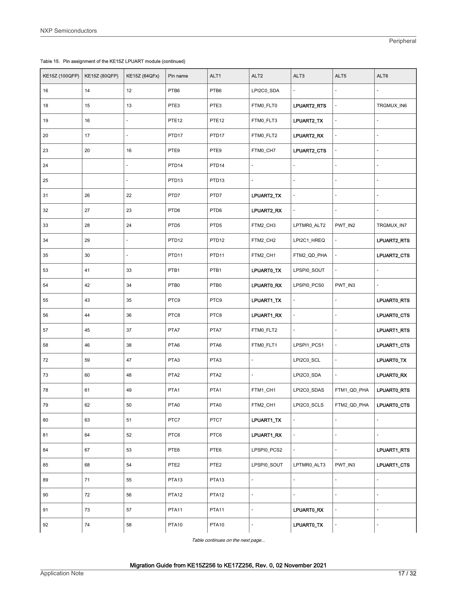|  |  | Table 15. Pin assignment of the KE15Z LPUART module (continued) |  |
|--|--|-----------------------------------------------------------------|--|
|--|--|-----------------------------------------------------------------|--|

| <b>KE15Z (100QFP)</b> | <b>KE15Z (80QFP)</b> | <b>KE15Z (64QFx)</b> | Pin name          | ALT1              | ALT <sub>2</sub> | ALT3           | ALT5           | ALT6           |
|-----------------------|----------------------|----------------------|-------------------|-------------------|------------------|----------------|----------------|----------------|
| 16                    | 14                   | 12                   | PTB6              | PTB6              | LPI2C0_SDA       |                |                |                |
| 18                    | 15                   | 13                   | PTE3              | PTE3              | FTM0_FLT0        | LPUART2_RTS    |                | TRGMUX_IN6     |
| 19                    | 16                   |                      | PTE <sub>12</sub> | PTE <sub>12</sub> | FTM0_FLT3        | LPUART2_TX     |                |                |
| 20                    | 17                   |                      | PTD17             | PTD17             | FTMO_FLT2        | LPUART2_RX     |                |                |
| 23                    | 20                   | 16                   | PTE9              | PTE9              | FTM0_CH7         | LPUART2_CTS    |                |                |
| 24                    |                      |                      | PTD <sub>14</sub> | PTD <sub>14</sub> |                  |                |                |                |
| 25                    |                      |                      | PTD <sub>13</sub> | PTD <sub>13</sub> |                  |                |                |                |
| 31                    | 26                   | 22                   | PTD7              | PTD7              | LPUART2_TX       | ä,             | $\blacksquare$ | $\blacksquare$ |
| 32                    | 27                   | 23                   | PTD6              | PTD6              | LPUART2_RX       |                |                |                |
| 33                    | 28                   | 24                   | PTD <sub>5</sub>  | PTD <sub>5</sub>  | FTM2_CH3         | LPTMR0_ALT2    | PWT_IN2        | TRGMUX_IN7     |
| 34                    | 29                   | $\Box$               | PTD <sub>12</sub> | PTD <sub>12</sub> | FTM2_CH2         | LPI2C1_HREQ    |                | LPUART2_RTS    |
| 35                    | 30                   |                      | PTD11             | PTD <sub>11</sub> | FTM2_CH1         | FTM2_QD_PHA    |                | LPUART2_CTS    |
| 53                    | 41                   | 33                   | PTB1              | PTB1              | LPUARTO_TX       | LPSPI0_SOUT    |                |                |
| 54                    | 42                   | 34                   | PTB0              | PTB0              | LPUARTO_RX       | LPSPI0_PCS0    | PWT_IN3        | ÷,             |
| 55                    | 43                   | 35                   | PTC9              | PTC9              | LPUART1_TX       | ÷,             |                | LPUARTO_RTS    |
| 56                    | 44                   | 36                   | PTC8              | PTC8              | LPUART1_RX       | $\blacksquare$ | ÷,             | LPUARTO_CTS    |
| 57                    | 45                   | 37                   | PTA7              | PTA7              | FTM0_FLT2        | $\Box$         | ÷,             | LPUART1_RTS    |
| 58                    | 46                   | 38                   | PTA6              | PTA6              | FTM0_FLT1        | LPSPI1_PCS1    | $\overline{a}$ | LPUART1_CTS    |
| 72                    | 59                   | 47                   | PTA3              | PTA3              |                  | LPI2C0_SCL     |                | LPUARTO_TX     |
| 73                    | 60                   | 48                   | PTA <sub>2</sub>  | PTA <sub>2</sub>  | ÷,               | LPI2C0_SDA     | L,             | LPUART0_RX     |
| 78                    | 61                   | 49                   | PTA1              | PTA1              | FTM1_CH1         | LPI2C0_SDAS    | FTM1_QD_PHA    | LPUARTO_RTS    |
| 79                    | 62                   | 50                   | PTA0              | PTA0              | FTM2_CH1         | LPI2C0_SCLS    | FTM2_QD_PHA    | LPUART0_CTS    |
| 80                    | 63                   | 51                   | PTC7              | PTC7              | LPUART1_TX       | ÷,             | ä,             |                |
| 81                    | 64                   | 52                   | PTC6              | PTC6              | LPUART1_RX       | L.             | L,             |                |
| 84                    | 67                   | 53                   | PTE6              | PTE6              | LPSPI0_PCS2      | ä,             | ÷,             | LPUART1_RTS    |
| 85                    | 68                   | 54                   | PTE <sub>2</sub>  | PTE <sub>2</sub>  | LPSPI0_SOUT      | LPTMR0_ALT3    | PWT IN3        | LPUART1_CTS    |
| 89                    | 71                   | 55                   | PTA <sub>13</sub> | PTA <sub>13</sub> | $\blacksquare$   | L.             |                |                |
| 90                    | 72                   | 56                   | PTA <sub>12</sub> | PTA <sub>12</sub> | $\overline{a}$   |                |                |                |
| 91                    | 73                   | 57                   | PTA11             | PTA11             | ÷,               | LPUARTO_RX     |                |                |
| 92                    | 74                   | 58                   | PTA <sub>10</sub> | <b>PTA10</b>      | -                | LPUARTO_TX     |                |                |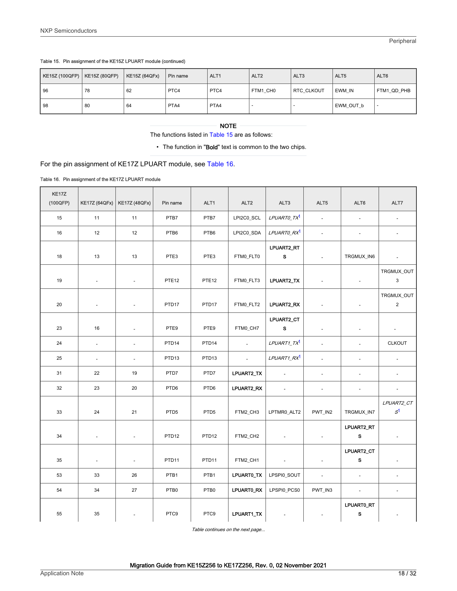<span id="page-17-0"></span>

| KE15Z (100QFP) | KE15Z (80QFP) | <b>KE15Z (64QFx)</b> | Pin name | ALT <sub>1</sub> | ALT <sub>2</sub> | ALT <sub>3</sub>  | ALT5      | ALT6        |
|----------------|---------------|----------------------|----------|------------------|------------------|-------------------|-----------|-------------|
| l 96           | 78            | 62                   | PTC4     | PTC4             | FTM1 CH0         | <b>RTC CLKOUT</b> | EWM IN    | FTM1 QD PHB |
| l 98           | 80            | 64                   | PTA4     | PTA4             |                  |                   | EWM OUT b |             |

The functions listed in [Table 15](#page-15-0) are as follows:

• The function in "Bold" text is common to the two chips.

### For the pin assignment of KE17Z LPUART module, see Table 16.

#### Table 16. Pin assignment of the KE17Z LPUART module

| KE17Z<br>(100QFP) | KE17Z (64QFx)            | <b>KE17Z (48QFx)</b>     | Pin name          | ALT1              | ALT <sub>2</sub> | ALT3                    | ALT5                     | ALT6                       | ALT7                         |
|-------------------|--------------------------|--------------------------|-------------------|-------------------|------------------|-------------------------|--------------------------|----------------------------|------------------------------|
| 15                | 11                       | 11                       | PTB7              | PTB7              | LPI2C0_SCL       | LPUARTO_TX <sup>1</sup> | $\blacksquare$           | $\overline{\phantom{a}}$   | $\overline{\phantom{a}}$     |
| 16                | 12                       | 12                       | PTB6              | PTB6              | LPI2C0_SDA       | LPUARTO_RX <sup>1</sup> | $\blacksquare$           | $\overline{\phantom{a}}$   | $\overline{\phantom{a}}$     |
| 18                | 13                       | 13                       | PTE3              | PTE3              | FTM0_FLT0        | LPUART2_RT<br>${\bf s}$ | $\blacksquare$           | TRGMUX_IN6                 | $\overline{\phantom{a}}$     |
| 19                | $\omega$                 | $\sim$                   | PTE <sub>12</sub> | PTE <sub>12</sub> | FTM0_FLT3        | LPUART2_TX              | $\blacksquare$           | $\overline{\phantom{a}}$   | TRGMUX_OUT<br>3              |
| 20                | $\overline{\phantom{a}}$ | $\blacksquare$           | PTD <sub>17</sub> | PTD <sub>17</sub> | FTM0_FLT2        | LPUART2_RX              | $\overline{\phantom{a}}$ | $\overline{\phantom{a}}$   | TRGMUX_OUT<br>$\sqrt{2}$     |
| 23                | 16                       | $\sim$                   | PTE9              | PTE9              | FTM0_CH7         | LPUART2_CT<br>s         |                          | ä,                         | $\blacksquare$               |
| 24                | $\omega$                 | $\sim$                   | PTD <sub>14</sub> | PTD <sub>14</sub> | $\omega$         | LPUART1_TX <sup>1</sup> | $\omega$                 | ä,                         | <b>CLKOUT</b>                |
| 25                | $\overline{\phantom{a}}$ | $\blacksquare$           | PTD <sub>13</sub> | PTD <sub>13</sub> | $\sim$           | LPUART1_RX <sup>1</sup> | $\overline{\phantom{a}}$ | $\overline{\phantom{a}}$   | $\overline{\phantom{a}}$     |
| 31                | 22                       | 19                       | PTD7              | PTD7              | LPUART2_TX       | $\Box$                  | $\blacksquare$           | $\blacksquare$             | $\overline{\phantom{a}}$     |
| 32                | 23                       | 20                       | PTD6              | PTD6              | LPUART2_RX       | $\sim$                  | $\blacksquare$           | $\overline{\phantom{a}}$   | $\overline{\phantom{a}}$     |
| 33                | 24                       | 21                       | PTD <sub>5</sub>  | PTD <sub>5</sub>  | FTM2_CH3         | LPTMR0_ALT2             | PWT_IN2                  | TRGMUX_IN7                 | LPUART2_CT<br>S <sup>1</sup> |
| 34                | $\blacksquare$           | $\omega$                 | PTD <sub>12</sub> | PTD <sub>12</sub> | FTM2_CH2         | $\Box$                  | $\blacksquare$           | LPUART2_RT<br>s            | $\overline{\phantom{a}}$     |
| 35                | $\overline{\phantom{a}}$ | $\blacksquare$           | PTD <sub>11</sub> | PTD11             | FTM2_CH1         | $\blacksquare$          | $\overline{\phantom{a}}$ | LPUART2_CT<br>$\mathbf{s}$ |                              |
| 53                | 33                       | 26                       | PTB1              | PTB1              | LPUARTO_TX       | LPSPI0_SOUT             | $\blacksquare$           | $\blacksquare$             | $\overline{\phantom{a}}$     |
| 54                | 34                       | 27                       | PTB <sub>0</sub>  | PTB0              | LPUARTO_RX       | LPSPI0_PCS0             | PWT_IN3                  | $\blacksquare$             | $\overline{\phantom{a}}$     |
| 55                | 35                       | $\overline{\phantom{a}}$ | PTC9              | PTC9              | LPUART1_TX       | $\blacksquare$          |                          | LPUART0_RT<br>s            |                              |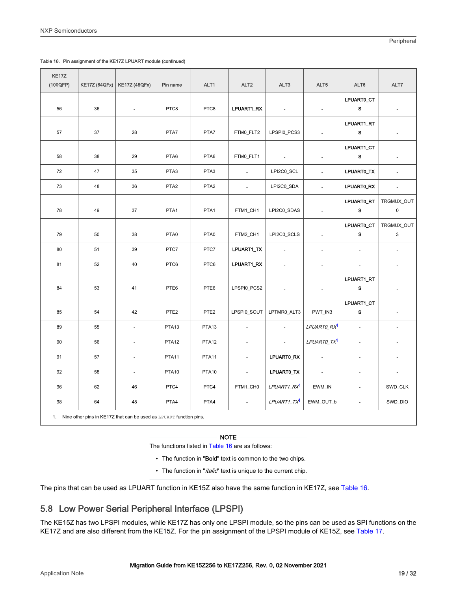<span id="page-18-0"></span>

| KE17Z<br>(100QFP) | <b>KE17Z (64QFx)</b> | <b>KE17Z (48QFx)</b>                                                  | Pin name          | ALT1              | ALT <sub>2</sub> | ALT3                     | ALT5                    | ALT6                      | ALT7                      |
|-------------------|----------------------|-----------------------------------------------------------------------|-------------------|-------------------|------------------|--------------------------|-------------------------|---------------------------|---------------------------|
| 56                | 36                   | $\omega$                                                              | PTC8              | PTC8              | LPUART1_RX       | $\sim$                   | ÷,                      | LPUART0_CT<br>s           | $\blacksquare$            |
| 57                | 37                   | 28                                                                    | PTA7              | PTA7              | FTMO_FLT2        | LPSPI0_PCS3              | ÷                       | LPUART1_RT<br>s           |                           |
| 58                | 38                   | 29                                                                    | PTA6              | PTA6              | FTMO_FLT1        |                          |                         | LPUART1_CT<br>$\mathbf s$ |                           |
| 72                | 47                   | 35                                                                    | PTA3              | PTA3              | $\blacksquare$   | LPI2C0_SCL               | $\bar{\phantom{a}}$     | LPUARTO_TX                | $\overline{\phantom{a}}$  |
| 73                | 48                   | 36                                                                    | PTA <sub>2</sub>  | PTA <sub>2</sub>  | $\omega$         | LPI2C0_SDA               | $\Box$                  | LPUART0_RX                | $\omega$                  |
| 78                | 49                   | 37                                                                    | PTA1              | PTA1              | FTM1_CH1         | LPI2C0_SDAS              | $\omega$                | LPUART0_RT<br>s           | TRGMUX_OUT<br>$\mathsf 0$ |
| 79                | 50                   | 38                                                                    | PTA0              | PTA0              | FTM2_CH1         | LPI2C0_SCLS              | $\bar{\phantom{a}}$     | LPUART0_CT<br>s           | TRGMUX_OUT<br>3           |
| 80                | 51                   | 39                                                                    | PTC7              | PTC7              | LPUART1_TX       | $\overline{\phantom{a}}$ | $\blacksquare$          | $\blacksquare$            | $\Box$                    |
| 81                | 52                   | 40                                                                    | PTC6              | PTC6              | LPUART1_RX       | $\blacksquare$           | $\blacksquare$          | $\blacksquare$            | $\blacksquare$            |
| 84                | 53                   | 41                                                                    | PTE6              | PTE6              | LPSPI0_PCS2      | $\overline{\phantom{a}}$ | ÷,                      | LPUART1_RT<br>s           |                           |
| 85                | 54                   | 42                                                                    | PTE <sub>2</sub>  | PTE <sub>2</sub>  | LPSPI0_SOUT      | LPTMR0_ALT3              | PWT_IN3                 | LPUART1_CT<br>S           |                           |
| 89                | 55                   | $\blacksquare$                                                        | PTA <sub>13</sub> | PTA <sub>13</sub> | $\Box$           | $\overline{\phantom{a}}$ | LPUARTO_RX <sup>1</sup> | $\overline{\phantom{a}}$  | $\blacksquare$            |
| 90                | 56                   | $\sim$                                                                | PTA <sub>12</sub> | PTA <sub>12</sub> | $\sim$           | $\omega$                 | LPUARTO_TX <sup>1</sup> | $\sim$                    | ä,                        |
| 91                | 57                   | $\omega$                                                              | PTA11             | PTA <sub>11</sub> | $\omega$         | LPUARTO_RX               | $\sim$                  | ÷,                        | $\blacksquare$            |
| 92                | 58                   | $\omega$                                                              | PTA <sub>10</sub> | <b>PTA10</b>      | $\omega$         | LPUART0_TX               | $\sim$                  | $\overline{\phantom{a}}$  | $\overline{\phantom{a}}$  |
| 96                | 62                   | 46                                                                    | PTC4              | PTC4              | FTM1_CH0         | LPUART1_RX <sup>1</sup>  | EWM_IN                  | $\overline{\phantom{a}}$  | SWD_CLK                   |
| 98                | 64                   | 48                                                                    | PTA4              | PTA4              | $\blacksquare$   | LPUART1_TX <sup>1</sup>  | EWM_OUT_b               | $\Box$                    | SWD_DIO                   |
|                   |                      | 1. Nine other pins in KE17Z that can be used as LPUART function pins. |                   |                   |                  |                          |                         |                           |                           |

The functions listed in [Table 16](#page-17-0) are as follows:

- The function in "Bold" text is common to the two chips.
- The function in "*italic*" text is unique to the current chip.

The pins that can be used as LPUART function in KE15Z also have the same function in KE17Z, see [Table 16](#page-17-0).

### 5.8 Low Power Serial Peripheral Interface (LPSPI)

The KE15Z has two LPSPI modules, while KE17Z has only one LPSPI module, so the pins can be used as SPI functions on the KE17Z and are also different from the KE15Z. For the pin assignment of the LPSPI module of KE15Z, see [Table 17.](#page-19-0)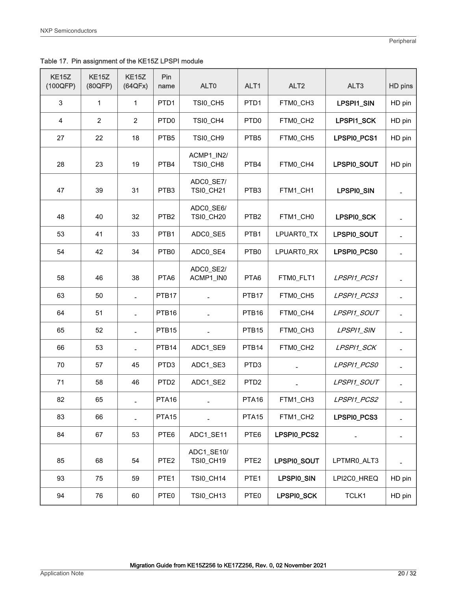<span id="page-19-0"></span>Table 17. Pin assignment of the KE15Z LPSPI module

| <b>KE15Z</b><br>(100QFP) | <b>KE15Z</b><br>(80QFP) | KE15Z<br>(64QFx) | Pin<br>name       | ALT <sub>0</sub>              | ALT1              | ALT <sub>2</sub> | ALT <sub>3</sub> | HD pins |
|--------------------------|-------------------------|------------------|-------------------|-------------------------------|-------------------|------------------|------------------|---------|
| 3                        | 1                       | 1                | PTD <sub>1</sub>  | TSI0_CH5                      | PTD1              | FTM0_CH3         | LPSPI1_SIN       | HD pin  |
| 4                        | $\overline{2}$          | $\overline{2}$   | PTD <sub>0</sub>  | TSI0_CH4                      | PTD <sub>0</sub>  | FTM0_CH2         | LPSPI1_SCK       | HD pin  |
| 27                       | 22                      | 18               | PTB5              | TSI0_CH9                      | PTB <sub>5</sub>  | FTM0_CH5         | LPSPI0_PCS1      | HD pin  |
| 28                       | 23                      | 19               | PTB4              | ACMP1_IN2/<br>TSI0_CH8        | PTB4              | FTM0_CH4         | LPSPI0_SOUT      | HD pin  |
| 47                       | 39                      | 31               | PTB3              | ADC0_SE7/<br><b>TSI0_CH21</b> | PTB <sub>3</sub>  | FTM1_CH1         | LPSPI0_SIN       |         |
| 48                       | 40                      | 32               | PTB <sub>2</sub>  | ADC0_SE6/<br>TSI0_CH20        | PTB <sub>2</sub>  | FTM1_CH0         | LPSPI0_SCK       |         |
| 53                       | 41                      | 33               | PTB1              | ADC0_SE5                      | PTB1              | LPUART0_TX       | LPSPI0_SOUT      |         |
| 54                       | 42                      | 34               | PTB0              | ADC0_SE4                      | PTB0              | LPUART0_RX       | LPSPI0_PCS0      |         |
| 58                       | 46                      | 38               | PTA6              | ADC0 SE2/<br>ACMP1_IN0        | PTA6              | FTM0_FLT1        | LPSPI1_PCS1      |         |
| 63                       | 50                      |                  | PTB17             |                               | PTB <sub>17</sub> | FTM0_CH5         | LPSPI1_PCS3      |         |
| 64                       | 51                      |                  | PTB <sub>16</sub> |                               | PTB <sub>16</sub> | FTM0_CH4         | LPSPI1_SOUT      |         |
| 65                       | 52                      |                  | PTB <sub>15</sub> |                               | PTB <sub>15</sub> | FTM0_CH3         | LPSPI1_SIN       |         |
| 66                       | 53                      | $\frac{1}{2}$    | PTB14             | ADC1_SE9                      | PTB <sub>14</sub> | FTM0_CH2         | LPSPI1_SCK       |         |
| 70                       | 57                      | 45               | PTD <sub>3</sub>  | ADC1_SE3                      | PTD <sub>3</sub>  |                  | LPSPI1_PCS0      |         |
| 71                       | 58                      | 46               | PTD <sub>2</sub>  | ADC1_SE2                      | PTD <sub>2</sub>  |                  | LPSPI1_SOUT      |         |
| 82                       | 65                      |                  | PTA <sub>16</sub> |                               | PTA <sub>16</sub> | FTM1_CH3         | LPSPI1_PCS2      |         |
| 83                       | 66                      |                  | PTA <sub>15</sub> |                               | PTA <sub>15</sub> | FTM1_CH2         | LPSPI0_PCS3      |         |
| 84                       | 67                      | 53               | PTE6              | ADC1_SE11                     | PTE6              | LPSPI0_PCS2      |                  |         |
| 85                       | 68                      | 54               | PTE <sub>2</sub>  | ADC1_SE10/<br>TSI0_CH19       | PTE <sub>2</sub>  | LPSPI0_SOUT      | LPTMR0_ALT3      |         |
| 93                       | 75                      | 59               | PTE <sub>1</sub>  | TSI0_CH14                     | PTE <sub>1</sub>  | LPSPI0_SIN       | LPI2C0_HREQ      | HD pin  |
| 94                       | 76                      | 60               | PTE0              | TSI0_CH13                     | PTE0              | LPSPI0_SCK       | TCLK1            | HD pin  |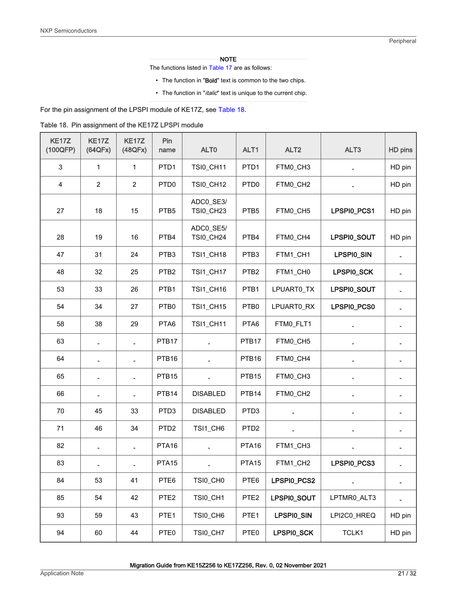The functions listed in [Table 17](#page-19-0) are as follows:

- The function in "Bold" text is common to the two chips.
- The function in "*italic*" text is unique to the current chip.

<span id="page-20-0"></span>For the pin assignment of the LPSPI module of KE17Z, see Table 18.

|  | Table 18. Pin assignment of the KE17Z LPSPI module |  |  |
|--|----------------------------------------------------|--|--|
|--|----------------------------------------------------|--|--|

| KE17Z<br>(100QFP) | KE17Z<br>(64QFx)         | KE17Z<br>(48QFx) | Pin<br>name       | ALT <sub>0</sub>              | ALT1              | ALT <sub>2</sub>  | ALT3                     | HD pins |
|-------------------|--------------------------|------------------|-------------------|-------------------------------|-------------------|-------------------|--------------------------|---------|
| $\mathbf{3}$      | 1                        | $\mathbf{1}$     | PTD <sub>1</sub>  | <b>TSI0_CH11</b>              | PTD1              | FTM0_CH3          |                          | HD pin  |
| 4                 | $\overline{2}$           | $\overline{2}$   | PTD <sub>0</sub>  | <b>TSI0_CH12</b>              | PTD <sub>0</sub>  | FTM0_CH2          |                          | HD pin  |
| 27                | 18                       | 15               | PTB <sub>5</sub>  | ADC0_SE3/<br>TSI0_CH23        | PTB5              | FTM0_CH5          | LPSPI0_PCS1              | HD pin  |
| 28                | 19                       | 16               | PTB4              | ADC0_SE5/<br><b>TSI0_CH24</b> | PTB4              | FTM0_CH4          | LPSPI0_SOUT              | HD pin  |
| 47                | 31                       | 24               | PTB3              | TSI1_CH18                     | PTB3              | FTM1_CH1          | LPSPI0_SIN               |         |
| 48                | 32                       | 25               | PTB <sub>2</sub>  | TSI1_CH17                     | PTB <sub>2</sub>  | FTM1_CH0          | LPSPI0_SCK               |         |
| 53                | 33                       | 26               | PTB <sub>1</sub>  | TSI1_CH16                     | PTB1              | LPUART0_TX        | LPSPI0_SOUT              |         |
| 54                | 34                       | 27               | PTB0              | TSI1_CH15                     | PTB0              | LPUART0 RX        | LPSPI0_PCS0              |         |
| 58                | 38                       | 29               | PTA6              | <b>TSI1_CH11</b>              | PTA6              | FTM0_FLT1         |                          |         |
| 63                | $\blacksquare$           | $\overline{a}$   | PTB <sub>17</sub> | $\overline{a}$                | PTB17             | FTM0_CH5          | $\overline{\phantom{a}}$ |         |
| 64                |                          | $\blacksquare$   | PTB <sub>16</sub> |                               | PTB <sub>16</sub> | FTM0_CH4          |                          |         |
| 65                |                          |                  | PTB <sub>15</sub> |                               | PTB <sub>15</sub> | FTM0_CH3          |                          |         |
| 66                |                          |                  | PTB <sub>14</sub> | <b>DISABLED</b>               | PTB <sub>14</sub> | FTM0_CH2          |                          |         |
| 70                | 45                       | 33               | PTD <sub>3</sub>  | <b>DISABLED</b>               | PTD <sub>3</sub>  |                   |                          |         |
| 71                | 46                       | 34               | PTD <sub>2</sub>  | TSI1_CH6                      | PTD <sub>2</sub>  | $\qquad \qquad -$ | $\overline{\phantom{a}}$ |         |
| 82                | $\overline{\phantom{a}}$ |                  | PTA <sub>16</sub> | $\overline{\phantom{a}}$      | PTA <sub>16</sub> | FTM1_CH3          |                          |         |
| 83                |                          |                  | PTA <sub>15</sub> |                               | PTA <sub>15</sub> | FTM1_CH2          | LPSPI0_PCS3              |         |
| 84                | 53                       | 41               | PTE6              | TSI0_CH0                      | PTE6              | LPSPI0_PCS2       |                          |         |
| 85                | 54                       | 42               | PTE <sub>2</sub>  | TSI0_CH1                      | PTE <sub>2</sub>  | LPSPI0_SOUT       | LPTMR0_ALT3              |         |
| 93                | 59                       | 43               | PTE <sub>1</sub>  | TSI0_CH6                      | PTE <sub>1</sub>  | LPSPI0_SIN        | LPI2C0_HREQ              | HD pin  |
| 94                | 60                       | 44               | PTE0              | TSI0_CH7                      | PTE0              | LPSPI0_SCK        | TCLK1                    | HD pin  |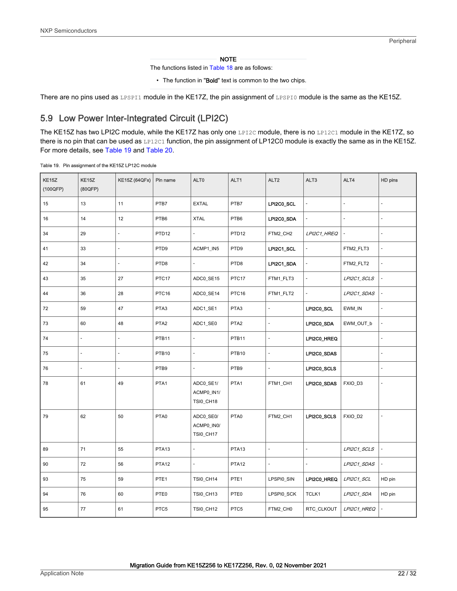The functions listed in [Table 18](#page-20-0) are as follows:

• The function in "Bold" text is common to the two chips.

<span id="page-21-0"></span>There are no pins used as LPSPI1 module in the KE17Z, the pin assignment of LPSPI0 module is the same as the KE15Z.

### 5.9 Low Power Inter-Integrated Circuit (LPI2C)

The KE15Z has two LPI2C module, while the KE17Z has only one LPI2C module, there is no LP12C1 module in the KE17Z, so there is no pin that can be used as LP12C1 function, the pin assignment of LP12C0 module is exactly the same as in the KE15Z. For more details, see Table 19 and [Table 20](#page-22-0).

#### Table 19. Pin assignment of the KE15Z LP12C module

| KE15Z<br>(100QFP) | KE15Z<br>(80QFP)    | <b>KE15Z (64QFx)</b> | Pin name          | ALT0                                        | ALT1              | ALT <sub>2</sub>         | ALT3           | ALT4           | HD pins                      |
|-------------------|---------------------|----------------------|-------------------|---------------------------------------------|-------------------|--------------------------|----------------|----------------|------------------------------|
| 15                | 13                  | 11                   | PTB7              | <b>EXTAL</b>                                | PTB7              | LPI2C0_SCL               | ÷,             | ÷,             | L,                           |
| 16                | 14                  | 12                   | PTB6              | <b>XTAL</b>                                 | PTB6              | LPI2C0_SDA               | ÷,             | $\overline{a}$ | $\omega$                     |
| 34                | 29                  |                      | PTD <sub>12</sub> | ÷,                                          | PTD <sub>12</sub> | FTM2_CH2                 | LPI2C1_HREQ    |                | L,                           |
| 41                | 33                  | ÷,                   | PTD9              | ACMP1_IN5                                   | PTD9              | LPI2C1_SCL               |                | FTM2_FLT3      | $\qquad \qquad \blacksquare$ |
| 42                | 34                  | ÷,                   | PTD8              | $\overline{a}$                              | PTD8              | LPI2C1_SDA               |                | FTM2_FLT2      | $\overline{a}$               |
| 43                | 35                  | 27                   | PTC17             | ADC0_SE15                                   | PTC17             | FTM1_FLT3                | $\overline{a}$ | LPI2C1_SCLS    |                              |
| 44                | 36                  | 28                   | PTC16             | ADC0_SE14                                   | PTC16             | FTM1_FLT2                |                | LPI2C1_SDAS    |                              |
| 72                | 59                  | 47                   | PTA3              | ADC1_SE1                                    | PTA3              |                          | LPI2C0_SCL     | EWM_IN         | ÷,                           |
| 73                | 60                  | 48                   | PTA <sub>2</sub>  | ADC1_SE0                                    | PTA <sub>2</sub>  | $\overline{\phantom{a}}$ | LPI2C0_SDA     | EWM_OUT_b      | $\overline{a}$               |
| 74                | $\overline{a}$      | $\overline{a}$       | PTB11             | $\overline{a}$                              | PTB11             | L.                       | LPI2C0_HREQ    |                | $\overline{a}$               |
| 75                | $\blacksquare$      | $\blacksquare$       | PTB <sub>10</sub> | $\blacksquare$                              | PTB <sub>10</sub> |                          | LPI2C0_SDAS    |                | Ξ                            |
| 76                | $\bar{\phantom{a}}$ | $\overline{a}$       | PTB9              | ÷,                                          | PTB9              | ä,                       | LPI2C0_SCLS    |                | ÷,                           |
| 78                | 61                  | 49                   | PTA1              | ADC0_SE1/<br>ACMP0_IN1/<br><b>TSI0_CH18</b> | PTA1              | FTM1_CH1                 | LPI2C0_SDAS    | FXIO_D3        | $\sim$                       |
| 79                | 62                  | 50                   | PTA0              | ADC0_SE0/<br>ACMP0_IN0/<br><b>TSI0_CH17</b> | PTA0              | FTM2_CH1                 | LPI2C0_SCLS    | FXIO_D2        | ÷,                           |
| 89                | 71                  | 55                   | PTA <sub>13</sub> | $\blacksquare$                              | PTA <sub>13</sub> |                          |                | LPI2C1_SCLS    |                              |
| 90                | 72                  | 56                   | PTA <sub>12</sub> | $\blacksquare$                              | PTA <sub>12</sub> |                          |                | LPI2C1_SDAS    |                              |
| 93                | 75                  | 59                   | PTE <sub>1</sub>  | <b>TSI0_CH14</b>                            | PTE <sub>1</sub>  | LPSPI0_SIN               | LPI2C0_HREQ    | LPI2C1_SCL     | HD pin                       |
| 94                | 76                  | 60                   | PTE0              | <b>TSI0_CH13</b>                            | PTE0              | LPSPI0_SCK               | TCLK1          | LPI2C1_SDA     | HD pin                       |
| 95                | 77                  | 61                   | PTC5              | <b>TSI0_CH12</b>                            | PTC5              | FTM2_CH0                 | RTC_CLKOUT     | LPI2C1_HREQ    |                              |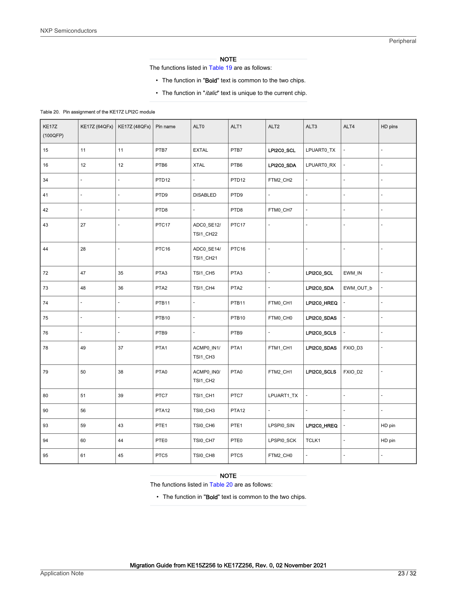The functions listed in [Table 19](#page-21-0) are as follows:

- The function in "Bold" text is common to the two chips.
- The function in "*italic*" text is unique to the current chip.

#### <span id="page-22-0"></span>Table 20. Pin assignment of the KE17Z LPI2C module

| KE17Z<br>(100QFP) | <b>KE17Z (64QFx)</b>     | <b>KE17Z (48QFx)</b>     | Pin name          | ALT0                           | ALT1              | ALT <sub>2</sub>    | ALT3           | ALT4                     | HD pins        |
|-------------------|--------------------------|--------------------------|-------------------|--------------------------------|-------------------|---------------------|----------------|--------------------------|----------------|
| 15                | 11                       | 11                       | PTB7              | <b>EXTAL</b>                   | PTB7              | LPI2C0_SCL          | LPUART0_TX     | $\sim$                   | $\overline{a}$ |
| 16                | 12                       | 12                       | PTB6              | <b>XTAL</b>                    | PTB6              | LPI2C0 SDA          | LPUART0_RX     |                          | $\overline{a}$ |
| 34                | ÷,                       | ÷,                       | PTD <sub>12</sub> |                                | PTD <sub>12</sub> | FTM2_CH2            |                |                          | $\overline{a}$ |
| 41                | $\overline{\phantom{a}}$ | $\blacksquare$           | PTD9              | <b>DISABLED</b>                | PTD9              | $\bar{\phantom{a}}$ |                | $\blacksquare$           | -              |
| 42                | $\overline{\phantom{a}}$ | ÷,                       | PTD8              | ÷,                             | PTD8              | FTM0_CH7            | $\blacksquare$ | $\overline{\phantom{a}}$ | $\Box$         |
| 43                | 27                       |                          | PTC17             | ADC0_SE12/<br><b>TSI1_CH22</b> | PTC17             |                     |                |                          | Ĭ.             |
| 44                | 28                       | ÷,                       | PTC16             | ADC0_SE14/<br><b>TSI1_CH21</b> | PTC16             |                     |                | $\overline{a}$           | $\overline{a}$ |
| 72                | 47                       | 35                       | PTA3              | TSI1_CH5                       | PTA3              | $\overline{a}$      | LPI2C0_SCL     | EWM_IN                   | L.             |
| 73                | 48                       | 36                       | PTA <sub>2</sub>  | TSI1_CH4                       | PTA <sub>2</sub>  | $\bar{\phantom{a}}$ | LPI2C0_SDA     | EWM_OUT_b                | ä,             |
| 74                | $\blacksquare$           | $\overline{\phantom{a}}$ | PTB11             | ÷,                             | PTB11             | FTM0_CH1            | LPI2C0_HREQ    |                          | ÷,             |
| 75                | ÷,                       |                          | PTB <sub>10</sub> |                                | PTB <sub>10</sub> | FTM0_CH0            | LPI2C0_SDAS    |                          | ÷,             |
| 76                | $\blacksquare$           | ÷,                       | PTB9              | ÷,                             | PTB9              | $\bar{\phantom{a}}$ | LPI2C0_SCLS    | $\blacksquare$           | L              |
| 78                | 49                       | 37                       | PTA1              | ACMP0_IN1/<br>TSI1_CH3         | PTA1              | FTM1_CH1            | LPI2C0_SDAS    | FXIO_D3                  | L              |
| 79                | 50                       | 38                       | PTA0              | ACMP0_IN0/<br>TSI1_CH2         | PTA0              | FTM2_CH1            | LPI2C0_SCLS    | FXIO_D2                  | $\overline{a}$ |
| 80                | 51                       | 39                       | PTC7              | TSI1_CH1                       | PTC7              | LPUART1_TX          | ä,             | $\frac{1}{2}$            | ÷,             |
| 90                | 56                       |                          | PTA <sub>12</sub> | TSI0_CH3                       | PTA <sub>12</sub> |                     |                |                          | L              |
| 93                | 59                       | 43                       | PTE <sub>1</sub>  | TSI0_CH6                       | PTE <sub>1</sub>  | LPSPI0_SIN          | LPI2C0_HREQ    |                          | HD pin         |
| 94                | 60                       | 44                       | PTE0              | TSI0_CH7                       | PTE0              | LPSPI0_SCK          | TCLK1          | $\overline{a}$           | HD pin         |
| 95                | 61                       | 45                       | PTC5              | TSI0_CH8                       | PTC5              | FTM2_CH0            |                | $\overline{\phantom{a}}$ | ÷,             |

#### NOTE

The functions listed in Table 20 are as follows:

• The function in "Bold" text is common to the two chips.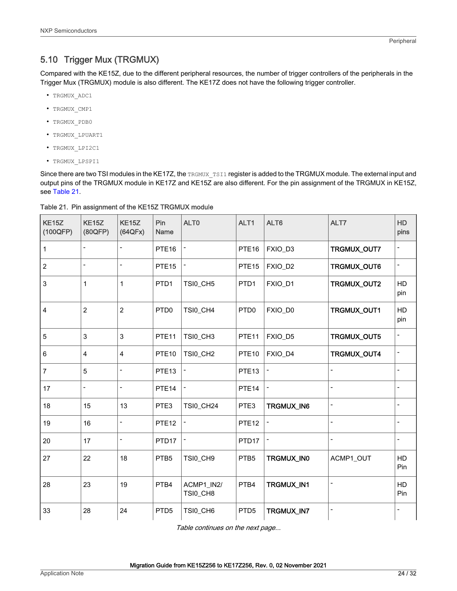### <span id="page-23-0"></span>5.10 Trigger Mux (TRGMUX)

Compared with the KE15Z, due to the different peripheral resources, the number of trigger controllers of the peripherals in the Trigger Mux (TRGMUX) module is also different. The KE17Z does not have the following trigger controller.

- TRGMUX\_ADC1
- TRGMUX\_CMP1
- TRGMUX\_PDB0
- TRGMUX\_LPUART1
- TRGMUX\_LPI2C1
- TRGMUX\_LPSPI1

Since there are two TSI modules in the KE17Z, the TRGMUX TSI1 register is added to the TRGMUX module. The external input and output pins of the TRGMUX module in KE17Z and KE15Z are also different. For the pin assignment of the TRGMUX in KE15Z, see Table 21.

| <b>KE15Z</b><br>(100QFP) | KE <sub>15</sub> Z<br>(80QFP) | <b>KE15Z</b><br>(64QFx)      | Pin<br>Name       | ALT <sub>0</sub>       | ALT1              | ALT6                     | ALT7                         | <b>HD</b><br>pins        |
|--------------------------|-------------------------------|------------------------------|-------------------|------------------------|-------------------|--------------------------|------------------------------|--------------------------|
| 1                        | $\overline{\phantom{a}}$      | $\qquad \qquad \blacksquare$ | PTE <sub>16</sub> |                        | PTE <sub>16</sub> | FXIO_D3                  | TRGMUX_OUT7                  |                          |
| $\sqrt{2}$               | $\overline{\phantom{m}}$      | $\overline{a}$               | PTE <sub>15</sub> |                        | PTE <sub>15</sub> | FXIO_D2                  | TRGMUX_OUT6                  | $\overline{\phantom{a}}$ |
| 3                        | $\mathbf{1}$                  | $\mathbf{1}$                 | PTD <sub>1</sub>  | TSI0_CH5               | PTD <sub>1</sub>  | FXIO_D1                  | TRGMUX_OUT2                  | HD<br>pin                |
| $\overline{4}$           | $\overline{2}$                | $\overline{2}$               | PTD <sub>0</sub>  | TSI0_CH4               | PTD <sub>0</sub>  | FXIO_D0                  | TRGMUX_OUT1                  | HD<br>pin                |
| 5                        | 3                             | $\mathsf 3$                  | PTE <sub>11</sub> | TSI0_CH3               | PTE <sub>11</sub> | FXIO_D5                  | TRGMUX_OUT5                  |                          |
| $\,6\,$                  | 4                             | $\overline{\mathbf{4}}$      | PTE <sub>10</sub> | TSI0_CH2               | PTE <sub>10</sub> | FXIO_D4                  | TRGMUX_OUT4                  | $\overline{\phantom{a}}$ |
| 7                        | 5                             | -                            | PTE <sub>13</sub> |                        | PTE <sub>13</sub> |                          |                              |                          |
| 17                       | $\overline{\phantom{a}}$      | $\qquad \qquad -$            | PTE <sub>14</sub> |                        | PTE <sub>14</sub> | $\overline{\phantom{a}}$ | $\qquad \qquad \blacksquare$ |                          |
| 18                       | 15                            | 13                           | PTE3              | <b>TSI0_CH24</b>       | PTE3              | TRGMUX_IN6               | $\qquad \qquad -$            |                          |
| 19                       | 16                            | $\overline{a}$               | PTE <sub>12</sub> |                        | PTE <sub>12</sub> |                          | $\overline{\phantom{a}}$     |                          |
| 20                       | 17                            | $\overline{a}$               | PTD <sub>17</sub> |                        | PTD17             |                          | $\overline{\phantom{a}}$     |                          |
| 27                       | 22                            | 18                           | PTB5              | TSI0_CH9               | PTB <sub>5</sub>  | TRGMUX_IN0               | ACMP1_OUT                    | HD<br>Pin                |
| 28                       | 23                            | 19                           | PTB4              | ACMP1_IN2/<br>TSI0_CH8 | PTB4              | TRGMUX_IN1               |                              | HD<br>Pin                |
| 33                       | 28                            | 24                           | PTD <sub>5</sub>  | TSI0_CH6               | PTD <sub>5</sub>  | TRGMUX_IN7               | $\overline{\phantom{0}}$     |                          |

Table 21. Pin assignment of the KE15Z TRGMUX module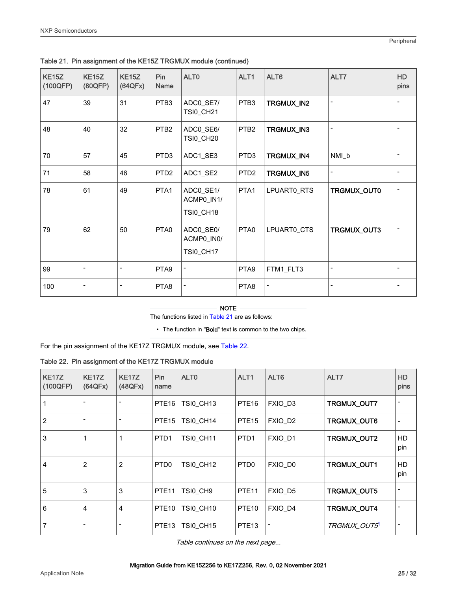| <b>KE15Z</b><br>(100QFP) | <b>KE15Z</b><br>(80QFP) | <b>KE15Z</b><br>(64QFx) | Pin<br>Name      | ALT0                                        | ALT1             | ALT6        | ALT7        | <b>HD</b><br>pins |
|--------------------------|-------------------------|-------------------------|------------------|---------------------------------------------|------------------|-------------|-------------|-------------------|
| 47                       | 39                      | 31                      | PTB <sub>3</sub> | ADC0_SE7/<br><b>TSI0_CH21</b>               | PTB <sub>3</sub> | TRGMUX_IN2  |             |                   |
| 48                       | 40                      | 32                      | PTB <sub>2</sub> | ADC0_SE6/<br><b>TSI0_CH20</b>               | PTB <sub>2</sub> | TRGMUX_IN3  |             |                   |
| 70                       | 57                      | 45                      | PTD3             | ADC1_SE3                                    | PTD <sub>3</sub> | TRGMUX_IN4  | NMI_b       |                   |
| 71                       | 58                      | 46                      | PTD <sub>2</sub> | ADC1_SE2                                    | PTD <sub>2</sub> | TRGMUX_IN5  |             |                   |
| 78                       | 61                      | 49                      | PTA1             | ADC0_SE1/<br>ACMP0_IN1/<br><b>TSI0_CH18</b> | PTA1             | LPUART0_RTS | TRGMUX_OUT0 |                   |
| 79                       | 62                      | 50                      | PTA0             | ADC0_SE0/<br>ACMP0_IN0/<br><b>TSI0_CH17</b> | PTA0             | LPUART0_CTS | TRGMUX_OUT3 |                   |
| 99                       | -                       |                         | PTA <sub>9</sub> |                                             | PTA <sub>9</sub> | FTM1_FLT3   |             |                   |
| 100                      |                         |                         | PTA8             |                                             | PTA8             |             |             |                   |

<span id="page-24-0"></span>Table 21. Pin assignment of the KE15Z TRGMUX module (continued)

The functions listed in [Table 21](#page-23-0) are as follows:

• The function in "Bold" text is common to the two chips.

For the pin assignment of the KE17Z TRGMUX module, see Table 22.

Table 22. Pin assignment of the KE17Z TRGMUX module

| <b>KE17Z</b><br>(100QFP) | KE <sub>17</sub> Z<br>(64QFx) | <b>KE17Z</b><br>(48QFx) | Pin<br>name       | ALT <sub>0</sub>      | ALT <sub>1</sub>  | ALT <sub>6</sub>    | ALT7               | <b>HD</b><br>pins |
|--------------------------|-------------------------------|-------------------------|-------------------|-----------------------|-------------------|---------------------|--------------------|-------------------|
| $\vert$ 1                | $\overline{\phantom{a}}$      |                         | PTE <sub>16</sub> | TSI0 CH13             | PTE <sub>16</sub> | FXIO D3             | TRGMUX_OUT7        |                   |
| $\vert$ 2                | $\overline{\phantom{a}}$      |                         | PTE <sub>15</sub> | TSI0 CH14             | PTE <sub>15</sub> | FXIO D <sub>2</sub> | TRGMUX_OUT6        |                   |
| 3                        | 1                             | 1                       | PTD <sub>1</sub>  | <b>TSI0_CH11</b>      | PTD <sub>1</sub>  | FXIO D1             | TRGMUX_OUT2        | HD.<br>pin        |
| $ 4\rangle$              | $\overline{2}$                | 2                       | PTD <sub>0</sub>  | <b>TSI0_CH12</b>      | PTD <sub>0</sub>  | FXIO DO             | TRGMUX_OUT1        | HD.<br>pin        |
| 5                        | 3                             | 3                       | PTE <sub>11</sub> | TSI0_CH9              | PTE <sub>11</sub> | FXIO_D5             | <b>TRGMUX OUT5</b> |                   |
| l 6                      | 4                             | $\overline{4}$          | PTE <sub>10</sub> | TSI0 CH <sub>10</sub> | PTE <sub>10</sub> | FXIO D4             | TRGMUX_OUT4        |                   |
| 7                        | -                             |                         | PTE <sub>13</sub> | <b>TSI0_CH15</b>      | PTE <sub>13</sub> | -                   | <b>TRGMUX OUT5</b> |                   |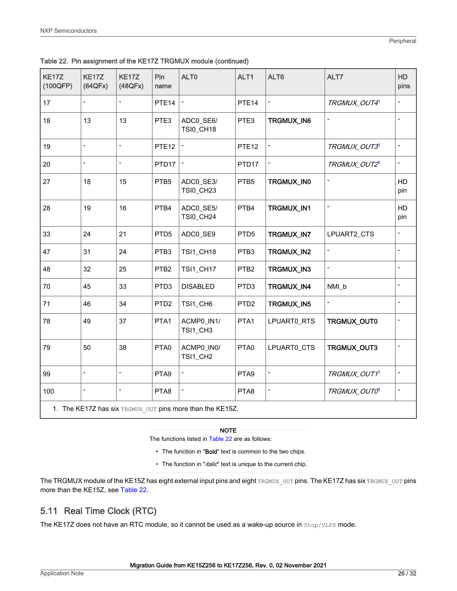<span id="page-25-0"></span>

|  |  | Table 22. Pin assignment of the KE17Z TRGMUX module (continued) |  |  |  |  |  |
|--|--|-----------------------------------------------------------------|--|--|--|--|--|
|--|--|-----------------------------------------------------------------|--|--|--|--|--|

| KE17Z<br>(100QFP) | <b>KE17Z</b><br>(64QFx)      | <b>KE17Z</b><br>(48QFx)  | Pin<br>name       | ALT <sub>0</sub>                                          | ALT1              | ALT6                         | ALT7                     | HD<br>pins               |
|-------------------|------------------------------|--------------------------|-------------------|-----------------------------------------------------------|-------------------|------------------------------|--------------------------|--------------------------|
| 17                | $\blacksquare$               |                          | PTE <sub>14</sub> |                                                           | PTE <sub>14</sub> |                              | TRGMUX_OUT4              |                          |
| 18                | 13                           | 13                       | PTE3              | ADC0_SE6/<br>TSI0_CH18                                    | PTE3              | TRGMUX_IN6                   |                          |                          |
| 19                | $\overline{a}$               | $\overline{a}$           | PTE <sub>12</sub> |                                                           | PTE <sub>12</sub> | $\qquad \qquad \blacksquare$ | TRGMUX_OUT3              | $\overline{a}$           |
| 20                | $\overline{\phantom{m}}$     | $\overline{\phantom{0}}$ | PTD <sub>17</sub> | $\qquad \qquad \blacksquare$                              | PTD <sub>17</sub> | -                            | TRGMUX_OUT2 <sup>1</sup> | $\overline{a}$           |
| 27                | 18                           | 15                       | PTB5              | ADC0_SE3/<br>TSI0_CH23                                    | PTB5              | TRGMUX_IN0                   | $\overline{\phantom{0}}$ | HD<br>pin                |
| 28                | 19                           | 16                       | PTB4              | ADC0_SE5/<br>TSI0_CH24                                    | PTB4              | TRGMUX_IN1                   | $\blacksquare$           | HD<br>pin                |
| 33                | 24                           | 21                       | PTD <sub>5</sub>  | ADC0_SE9                                                  | PTD <sub>5</sub>  | TRGMUX_IN7                   | LPUART2_CTS              |                          |
| 47                | 31                           | 24                       | PTB3              | TSI1_CH18                                                 | PTB3              | TRGMUX_IN2                   |                          |                          |
| 48                | 32                           | 25                       | PTB <sub>2</sub>  | TSI1_CH17                                                 | PTB <sub>2</sub>  | TRGMUX_IN3                   |                          |                          |
| 70                | 45                           | 33                       | PTD3              | <b>DISABLED</b>                                           | PTD <sub>3</sub>  | TRGMUX_IN4                   | NMI_b                    | $\overline{\phantom{0}}$ |
| 71                | 46                           | 34                       | PTD <sub>2</sub>  | TSI1_CH6                                                  | PTD <sub>2</sub>  | TRGMUX_IN5                   | $\overline{a}$           |                          |
| 78                | 49                           | 37                       | PTA1              | ACMP0_IN1/<br>TSI1_CH3                                    | PTA1              | LPUART0_RTS                  | TRGMUX_OUT0              |                          |
| 79                | 50                           | 38                       | PTA0              | ACMP0_IN0/<br>TSI1_CH2                                    | PTA0              | LPUART0_CTS                  | TRGMUX_OUT3              |                          |
| 99                | $\qquad \qquad \blacksquare$ |                          | PTA9              | $\blacksquare$                                            | PTA9              | -                            | TRGMUX_OUT1              | $\overline{a}$           |
| 100               | $\qquad \qquad \blacksquare$ |                          | PTA8              | $\blacksquare$                                            | PTA8              | -                            | TRGMUX_OUTO              | $\overline{a}$           |
|                   |                              |                          |                   | 1. The KE17Z has six TRGMUX OUT pins more than the KE15Z. |                   |                              |                          |                          |

The functions listed in [Table 22](#page-24-0) are as follows:

- The function in "Bold" text is common to the two chips.
- The function in "*italic*" text is unique to the current chip.

The TRGMUX module of the KE15Z has eight external input pins and eight TRGMUX\_OUT pins. The KE17Z has six TRGMUX\_OUT pins more than the KE15Z, see [Table 22.](#page-24-0)

### 5.11 Real Time Clock (RTC)

The KE17Z does not have an RTC module, so it cannot be used as a wake-up source in  $\text{stop}/\text{vLPS}$  mode.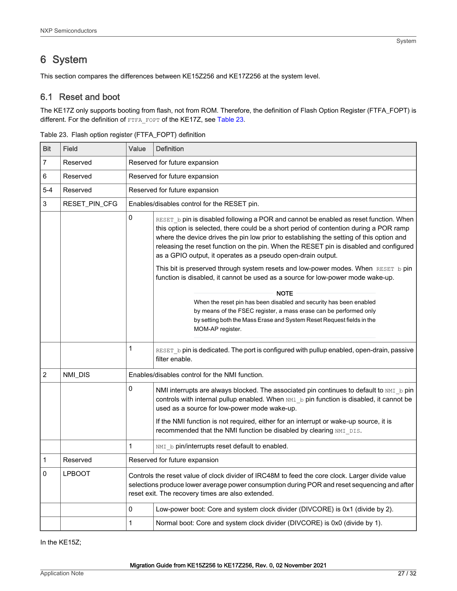# <span id="page-26-0"></span>6 System

This section compares the differences between KE15Z256 and KE17Z256 at the system level.

### 6.1 Reset and boot

The KE17Z only supports booting from flash, not from ROM. Therefore, the definition of Flash Option Register (FTFA\_FOPT) is different. For the definition of FTFA\_FOPT of the KE17Z, see Table 23.

| <b>Bit</b> | <b>Field</b>  | Value | <b>Definition</b>                                                                                                                                                                                                                                                                                                                                                                                                                     |  |  |  |  |
|------------|---------------|-------|---------------------------------------------------------------------------------------------------------------------------------------------------------------------------------------------------------------------------------------------------------------------------------------------------------------------------------------------------------------------------------------------------------------------------------------|--|--|--|--|
| 7          | Reserved      |       | Reserved for future expansion                                                                                                                                                                                                                                                                                                                                                                                                         |  |  |  |  |
| 6          | Reserved      |       | Reserved for future expansion                                                                                                                                                                                                                                                                                                                                                                                                         |  |  |  |  |
| $5 - 4$    | Reserved      |       | Reserved for future expansion                                                                                                                                                                                                                                                                                                                                                                                                         |  |  |  |  |
| 3          | RESET_PIN_CFG |       | Enables/disables control for the RESET pin.                                                                                                                                                                                                                                                                                                                                                                                           |  |  |  |  |
|            |               | 0     | RESET b pin is disabled following a POR and cannot be enabled as reset function. When<br>this option is selected, there could be a short period of contention during a POR ramp<br>where the device drives the pin low prior to establishing the setting of this option and<br>releasing the reset function on the pin. When the RESET pin is disabled and configured<br>as a GPIO output, it operates as a pseudo open-drain output. |  |  |  |  |
|            |               |       | This bit is preserved through system resets and low-power modes. When RESET b pin<br>function is disabled, it cannot be used as a source for low-power mode wake-up.                                                                                                                                                                                                                                                                  |  |  |  |  |
|            |               |       | <b>NOTE</b><br>When the reset pin has been disabled and security has been enabled<br>by means of the FSEC register, a mass erase can be performed only<br>by setting both the Mass Erase and System Reset Request fields in the<br>MOM-AP register.                                                                                                                                                                                   |  |  |  |  |
|            |               | 1     | RESET b pin is dedicated. The port is configured with pullup enabled, open-drain, passive<br>filter enable.                                                                                                                                                                                                                                                                                                                           |  |  |  |  |
| 2          | NMI DIS       |       | Enables/disables control for the NMI function.                                                                                                                                                                                                                                                                                                                                                                                        |  |  |  |  |
|            |               | 0     | NMI interrupts are always blocked. The associated pin continues to default to NMI b pin<br>controls with internal pullup enabled. When MM1 b pin function is disabled, it cannot be<br>used as a source for low-power mode wake-up.                                                                                                                                                                                                   |  |  |  |  |
|            |               |       | If the NMI function is not required, either for an interrupt or wake-up source, it is<br>recommended that the NMI function be disabled by clearing NMI DIS.                                                                                                                                                                                                                                                                           |  |  |  |  |
|            |               | 1     | NMI b pin/interrupts reset default to enabled.                                                                                                                                                                                                                                                                                                                                                                                        |  |  |  |  |
| 1          | Reserved      |       | Reserved for future expansion                                                                                                                                                                                                                                                                                                                                                                                                         |  |  |  |  |
| 0          | <b>LPBOOT</b> |       | Controls the reset value of clock divider of IRC48M to feed the core clock. Larger divide value<br>selections produce lower average power consumption during POR and reset sequencing and after<br>reset exit. The recovery times are also extended.                                                                                                                                                                                  |  |  |  |  |
|            |               | 0     | Low-power boot: Core and system clock divider (DIVCORE) is 0x1 (divide by 2).                                                                                                                                                                                                                                                                                                                                                         |  |  |  |  |
|            |               | 1     | Normal boot: Core and system clock divider (DIVCORE) is 0x0 (divide by 1).                                                                                                                                                                                                                                                                                                                                                            |  |  |  |  |

Table 23. Flash option register (FTFA\_FOPT) definition

In the KE15Z;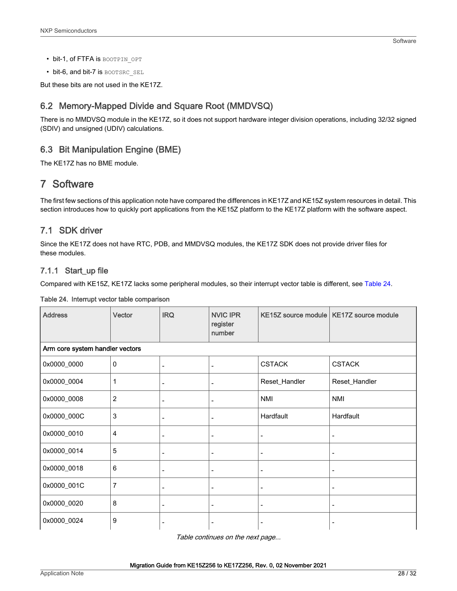- <span id="page-27-0"></span>• bit-1, of FTFA is BOOTPIN OPT
- bit-6, and bit-7 is BOOTSRC SEL

But these bits are not used in the KE17Z.

### 6.2 Memory-Mapped Divide and Square Root (MMDVSQ)

There is no MMDVSQ module in the KE17Z, so it does not support hardware integer division operations, including 32/32 signed (SDIV) and unsigned (UDIV) calculations.

### 6.3 Bit Manipulation Engine (BME)

The KE17Z has no BME module.

## 7 Software

The first few sections of this application note have compared the differences in KE17Z and KE15Z system resources in detail. This section introduces how to quickly port applications from the KE15Z platform to the KE17Z platform with the software aspect.

### 7.1 SDK driver

Since the KE17Z does not have RTC, PDB, and MMDVSQ modules, the KE17Z SDK does not provide driver files for these modules.

### 7.1.1 Start\_up file

Compared with KE15Z, KE17Z lacks some peripheral modules, so their interrupt vector table is different, see Table 24.

| <b>Address</b>                  | Vector          | <b>IRQ</b>                   | <b>NVIC IPR</b><br>register<br>number |                | KE15Z source module   KE17Z source module |  |  |  |
|---------------------------------|-----------------|------------------------------|---------------------------------------|----------------|-------------------------------------------|--|--|--|
| Arm core system handler vectors |                 |                              |                                       |                |                                           |  |  |  |
| 0x0000_0000                     | $\Omega$        |                              |                                       | <b>CSTACK</b>  | <b>CSTACK</b>                             |  |  |  |
| 0x0000_0004                     | 1               |                              | $\overline{\phantom{0}}$              | Reset_Handler  | Reset_Handler                             |  |  |  |
| 0x0000_0008                     | $\overline{2}$  | ۰                            |                                       | <b>NMI</b>     | <b>NMI</b>                                |  |  |  |
| 0x0000_000C                     | 3               | $\qquad \qquad \blacksquare$ | $\overline{\phantom{a}}$              | Hardfault      | Hardfault                                 |  |  |  |
| 0x0000_0010                     | $\overline{4}$  | $\overline{\phantom{a}}$     | $\overline{\phantom{a}}$              | $\overline{a}$ | $\overline{\phantom{a}}$                  |  |  |  |
| 0x0000_0014                     | 5               | $\overline{\phantom{a}}$     | $\overline{\phantom{a}}$              |                |                                           |  |  |  |
| 0x0000_0018                     | $6\phantom{1}6$ | -                            |                                       |                |                                           |  |  |  |
| 0x0000_001C                     | $\overline{7}$  |                              |                                       |                |                                           |  |  |  |
| 0x0000_0020                     | 8               | $\overline{\phantom{a}}$     | $\qquad \qquad \blacksquare$          |                |                                           |  |  |  |
| 0x0000_0024                     | 9               |                              |                                       |                |                                           |  |  |  |

### Table 24. Interrupt vector table comparison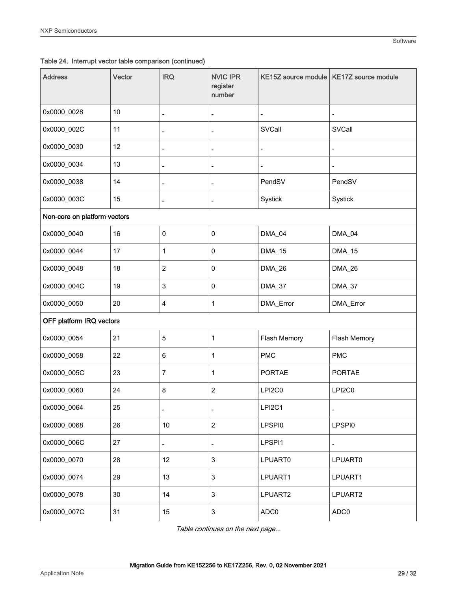### Table 24. Interrupt vector table comparison (continued)

| <b>Address</b>               | Vector | <b>IRQ</b>               | <b>NVIC IPR</b><br>register<br>number | <b>KE15Z source module</b> | <b>KE17Z</b> source module |  |  |
|------------------------------|--------|--------------------------|---------------------------------------|----------------------------|----------------------------|--|--|
| 0x0000_0028                  | 10     | $\overline{\phantom{0}}$ | $\qquad \qquad \blacksquare$          | $\overline{\phantom{a}}$   | $\overline{\phantom{a}}$   |  |  |
| 0x0000_002C                  | 11     | $\overline{a}$           | $\overline{\phantom{m}}$              | SVCall                     | SVCall                     |  |  |
| 0x0000_0030                  | 12     | $\overline{a}$           | $\frac{1}{2}$                         | $\overline{a}$             | $\blacksquare$             |  |  |
| 0x0000_0034                  | 13     | ÷                        | $\overline{a}$                        | ÷                          | $\overline{\phantom{a}}$   |  |  |
| 0x0000_0038                  | 14     | $\overline{a}$           | $\overline{\phantom{m}}$              | PendSV                     | PendSV                     |  |  |
| 0x0000_003C                  | 15     |                          | ÷                                     | Systick                    | Systick                    |  |  |
| Non-core on platform vectors |        |                          |                                       |                            |                            |  |  |
| 0x0000_0040                  | 16     | 0                        | $\pmb{0}$                             | DMA_04                     | DMA_04                     |  |  |
| 0x0000_0044                  | 17     | 1                        | 0                                     | DMA_15                     | <b>DMA_15</b>              |  |  |
| 0x0000_0048                  | 18     | $\overline{c}$           | 0                                     | DMA_26                     | DMA_26                     |  |  |
| 0x0000_004C                  | 19     | 3                        | 0                                     | DMA_37                     | DMA_37                     |  |  |
| 0x0000_0050                  | 20     | 4                        | 1                                     | DMA_Error                  | DMA_Error                  |  |  |
| OFF platform IRQ vectors     |        |                          |                                       |                            |                            |  |  |
| 0x0000_0054                  | 21     | $\overline{5}$           | 1                                     | Flash Memory               | Flash Memory               |  |  |
| 0x0000_0058                  | 22     | 6                        | 1                                     | <b>PMC</b>                 | <b>PMC</b>                 |  |  |
| 0x0000_005C                  | 23     | $\overline{7}$           | 1                                     | PORTAE                     | <b>PORTAE</b>              |  |  |
| 0x0000_0060                  | 24     | 8                        | $\boldsymbol{2}$                      | LPI2C0                     | LPI2C0                     |  |  |
| 0x0000_0064                  | 25     | $\overline{a}$           | $\overline{\phantom{m}}$              | LPI2C1                     | $\overline{\phantom{a}}$   |  |  |
| 0x0000_0068                  | 26     | 10                       | $\overline{2}$                        | LPSPI0                     | LPSPI0                     |  |  |
| 0x0000_006C                  | 27     | $\overline{a}$           | $\qquad \qquad \blacksquare$          | LPSPI1                     | $\frac{1}{2}$              |  |  |
| 0x0000_0070                  | 28     | 12                       | 3                                     | LPUART0                    | LPUART0                    |  |  |
| 0x0000_0074                  | 29     | 13                       | $\mathbf{3}$                          | LPUART1                    | LPUART1                    |  |  |
| 0x0000_0078                  | 30     | 14                       | $\mathbf{3}$                          | LPUART2                    | LPUART2                    |  |  |
| 0x0000_007C                  | 31     | 15                       | $\ensuremath{\mathsf{3}}$             | ADC0                       | ADC0                       |  |  |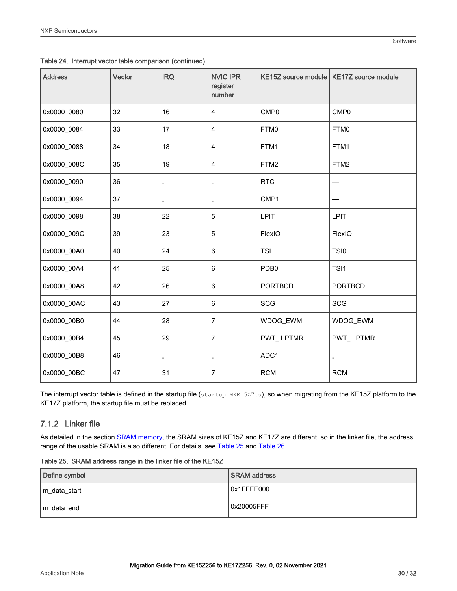| <b>Address</b> | Vector | <b>IRQ</b>               | <b>NVIC IPR</b><br>register<br>number |                  | KE15Z source module   KE17Z source module |
|----------------|--------|--------------------------|---------------------------------------|------------------|-------------------------------------------|
| 0x0000_0080    | 32     | 16                       | $\overline{4}$                        | CMP <sub>0</sub> | CMP <sub>0</sub>                          |
| 0x0000_0084    | 33     | 17                       | $\overline{4}$                        | FTM0             | FTM0                                      |
| 0x0000_0088    | 34     | 18                       | 4                                     | FTM1             | FTM1                                      |
| 0x0000_008C    | 35     | 19                       | 4                                     | FTM2             | FTM2                                      |
| 0x0000_0090    | 36     | $\overline{\phantom{0}}$ | $\overline{\phantom{m}}$              | <b>RTC</b>       |                                           |
| 0x0000_0094    | 37     | $\overline{a}$           | $\overline{a}$                        | CMP1             |                                           |
| 0x0000_0098    | 38     | 22                       | 5                                     | <b>LPIT</b>      | LPIT                                      |
| 0x0000_009C    | 39     | 23                       | 5                                     | FlexIO           | FlexIO                                    |
| 0x0000_00A0    | 40     | 24                       | 6                                     | <b>TSI</b>       | TSI0                                      |
| 0x0000_00A4    | 41     | 25                       | $6\phantom{1}6$                       | PDB <sub>0</sub> | TSI1                                      |
| 0x0000_00A8    | 42     | 26                       | $6\phantom{1}6$                       | <b>PORTBCD</b>   | <b>PORTBCD</b>                            |
| 0x0000_00AC    | 43     | 27                       | 6                                     | <b>SCG</b>       | <b>SCG</b>                                |
| 0x0000_00B0    | 44     | 28                       | 7                                     | WDOG_EWM         | WDOG_EWM                                  |
| 0x0000_00B4    | 45     | 29                       | $\overline{7}$                        | PWT_LPTMR        | PWT_LPTMR                                 |
| 0x0000_00B8    | 46     |                          | $\overline{\phantom{0}}$              | ADC1             |                                           |
| 0x0000_00BC    | 47     | 31                       | $\overline{7}$                        | <b>RCM</b>       | <b>RCM</b>                                |

Table 24. Interrupt vector table comparison (continued)

The interrupt vector table is defined in the startup file (startup\_MKE15Z7.s), so when migrating from the KE15Z platform to the KE17Z platform, the startup file must be replaced.

### 7.1.2 Linker file

As detailed in the section [SRAM memory,](#page-2-0) the SRAM sizes of KE15Z and KE17Z are different, so in the linker file, the address range of the usable SRAM is also different. For details, see Table 25 and [Table 26.](#page-30-0)

| Table 25. SRAM address range in the linker file of the KE15Z |  |  |  |  |  |  |
|--------------------------------------------------------------|--|--|--|--|--|--|
|                                                              |  |  |  |  |  |  |

| Define symbol | <b>SRAM</b> address |
|---------------|---------------------|
| m_data_start  | 0x1FFFE000          |
| m_data_end    | 0x20005FFF          |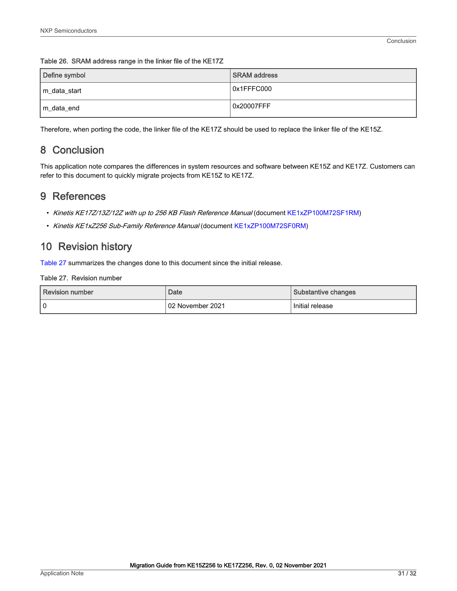| Define symbol | <b>SRAM</b> address |
|---------------|---------------------|
| m_data_start  | 0x1FFFC000          |
| m_data_end    | 0x20007FFF          |

#### <span id="page-30-0"></span>Table 26. SRAM address range in the linker file of the KE17Z

Therefore, when porting the code, the linker file of the KE17Z should be used to replace the linker file of the KE15Z.

# 8 Conclusion

This application note compares the differences in system resources and software between KE15Z and KE17Z. Customers can refer to this document to quickly migrate projects from KE15Z to KE17Z.

### 9 References

- Kinetis KE17Z/13Z/12Z with up to 256 KB Flash Reference Manual (document [KE1xZP100M72SF1RM](https://www.nxp.com/doc/KE1xZP100M72SF1RM))
- Kinetis KE1xZ256 Sub-Family Reference Manual (document [KE1xZP100M72SF0RM](https://www.nxp.com/doc/KE1XZP100M72SF0RM))

### 10 Revision history

Table 27 summarizes the changes done to this document since the initial release.

### Table 27. Revision number

| Revision number | Date             | Substantive changes |  |  |
|-----------------|------------------|---------------------|--|--|
| l 0             | 02 November 2021 | Initial release     |  |  |